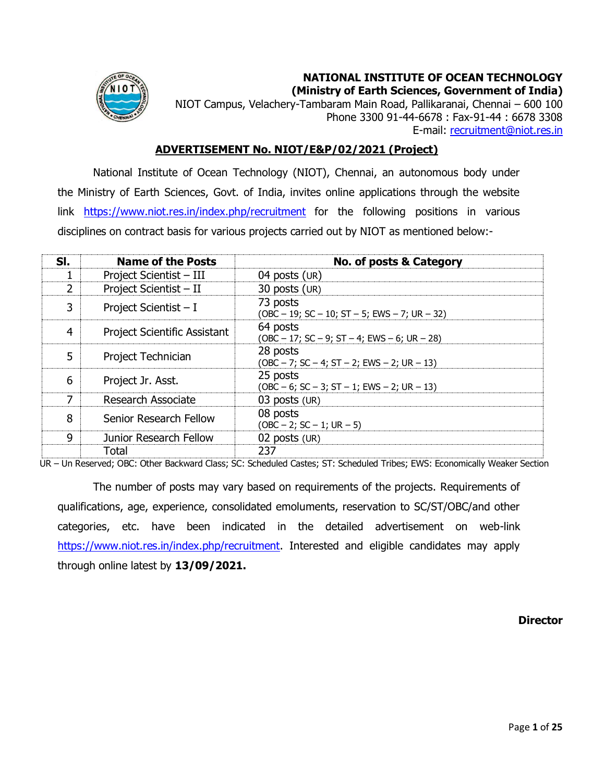

**NATIONAL INSTITUTE OF OCEAN TECHNOLOGY (Ministry of Earth Sciences, Government of India)**

NIOT Campus, Velachery-Tambaram Main Road, Pallikaranai, Chennai – 600 100 Phone 3300 91-44-6678 : Fax-91-44 : 6678 3308 E-mai[l](mailto:recruitment@niot.res.in): [recruitment@niot.res.in](mailto:recruitment@niot.res.in)

## **ADVERTISEMENT No. NIOT/E&P/02/2021 (Project)**

National Institute of Ocean Technology (NIOT), Chennai, an autonomous body under the Ministry of Earth Sciences, Govt. of India, invites online applications through the website link <https://www.niot.res.in/index.php/recruitment> for the following positions in various disciplines on contract basis for various projects carried out by NIOT as mentioned below:-

| SI. | <b>Name of the Posts</b>            | No. of posts & Category                                   |
|-----|-------------------------------------|-----------------------------------------------------------|
| 1   | Project Scientist - III             | 04 posts (UR)                                             |
| 2   | Project Scientist - II              | 30 posts (UR)                                             |
| 3   | Project Scientist $- I$             | 73 posts<br>(OBC - 19; SC - 10; ST - 5; EWS - 7; UR - 32) |
| 4   | <b>Project Scientific Assistant</b> | 64 posts<br>(OBC - 17; SC - 9; ST - 4; EWS - 6; UR - 28)  |
| 5   | Project Technician                  | 28 posts<br>(OBC – 7; SC – 4; ST – 2; EWS – 2; UR – 13)   |
| 6   | Project Jr. Asst.                   | 25 posts<br>$(OBC - 6; SC - 3; ST - 1; EWS - 2; UR - 13)$ |
| 7   | Research Associate                  | 03 posts (UR)                                             |
| 8   | Senior Research Fellow              | 08 posts<br>$(OBC - 2; SC - 1; UR - 5)$                   |
| 9   | Junior Research Fellow              | 02 posts (UR)                                             |
|     | Total                               | 237                                                       |

UR – Un Reserved; OBC: Other Backward Class; SC: Scheduled Castes; ST: Scheduled Tribes; EWS: Economically Weaker Section

The number of posts may vary based on requirements of the projects. Requirements of qualifications, age, experience, consolidated emoluments, reservation to SC/ST/OBC/and other categories, etc. have been indicated in the detailed advertisement on web-link [https://www.niot.res.in/index.php/recruitment.](https://www.niot.res.in/index.php/recruitment) Interested and eligible candidates may apply through online latest by **13/09/2021.**

**Director**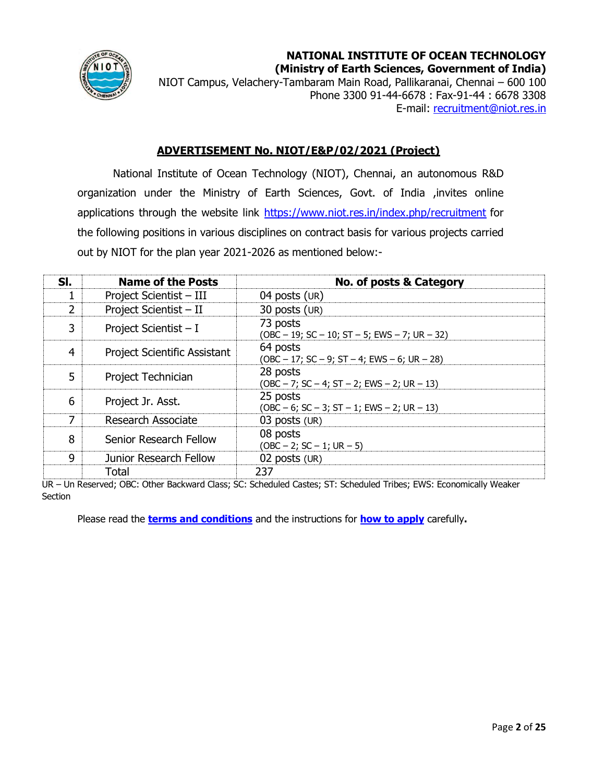

**NATIONAL INSTITUTE OF OCEAN TECHNOLOGY (Ministry of Earth Sciences, Government of India)**

NIOT Campus, Velachery-Tambaram Main Road, Pallikaranai, Chennai – 600 100 Phone 3300 91-44-6678 : Fax-91-44 : 6678 3308 E-mai[l](mailto:recruitment@niot.res.in): [recruitment@niot.res.in](mailto:recruitment@niot.res.in)

## **ADVERTISEMENT No. NIOT/E&P/02/2021 (Project)**

<span id="page-1-0"></span>National Institute of Ocean Technology (NIOT), Chennai, an autonomous R&D organization under the Ministry of Earth Sciences, Govt. of India ,invites online applications through the website link<https://www.niot.res.in/index.php/recruitment> for the following positions in various disciplines on contract basis for various projects carried out by NIOT for the plan year 2021-2026 as mentioned below:-

| SI.            | <b>Name of the Posts</b>     | No. of posts & Category                                   |
|----------------|------------------------------|-----------------------------------------------------------|
|                | Project Scientist - III      | 04 posts $(UR)$                                           |
| 2              | Project Scientist - II       | 30 posts (UR)                                             |
| 3              | Project Scientist - I        | 73 posts<br>(OBC - 19; SC - 10; ST - 5; EWS - 7; UR - 32) |
| $\overline{4}$ | Project Scientific Assistant | 64 posts<br>(OBC - 17; SC - 9; ST - 4; EWS - 6; UR - 28)  |
| 5              | Project Technician           | 28 posts<br>(OBC - 7; SC - 4; ST - 2; EWS - 2; UR - 13)   |
| 6              | Project Jr. Asst.            | 25 posts<br>$(OBC - 6; SC - 3; ST - 1; EWS - 2; UR - 13)$ |
| 7              | Research Associate           | 03 posts (UR)                                             |
| 8              | Senior Research Fellow       | 08 posts<br>$(OBC - 2; SC - 1; UR - 5)$                   |
| 9              | Junior Research Fellow       | 02 posts (UR)                                             |
|                | Total                        | 237                                                       |

UR – Un Reserved; OBC: Other Backward Class; SC: Scheduled Castes; ST: Scheduled Tribes; EWS: Economically Weaker **Section** 

Please read the **[terms and conditions](#page-22-0)** and the instructions for **[how to](#page-22-1) apply** carefully**.**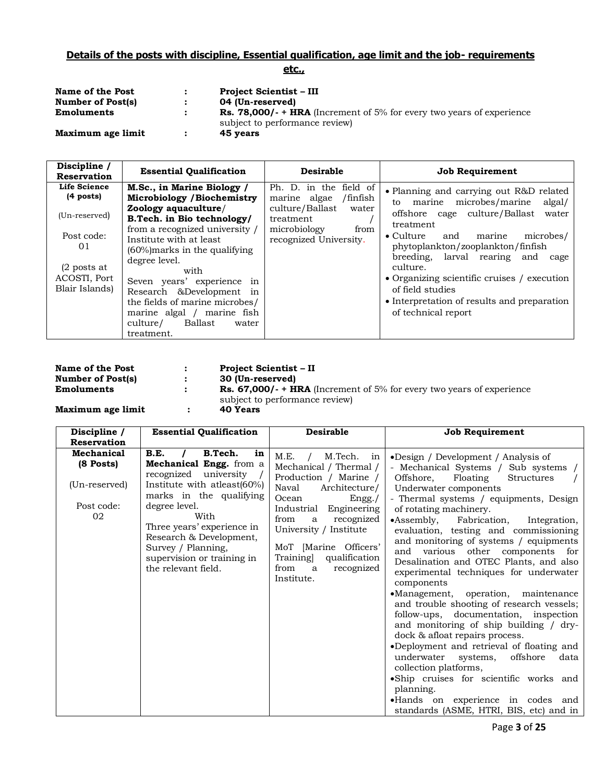# **Details of the posts with discipline, Essential qualification, age limit and the job- requirements**

## **etc.,**

| Name of the Post         | $\mathbf{r}$ | <b>Project Scientist – III</b>                                                                                |
|--------------------------|--------------|---------------------------------------------------------------------------------------------------------------|
| <b>Number of Post(s)</b> |              | 04 (Un-reserved)                                                                                              |
| <b>Emoluments</b>        |              | <b>Rs. 78,000/- + HRA</b> (Increment of 5% for every two years of experience<br>subject to performance review |
| Maximum age limit        | $\mathbf{r}$ | 45 vears                                                                                                      |

| <b>Essential Qualification</b>                                                                                                                                                                                                                                                                                                                                                                         | <b>Desirable</b>                                                                                                                              | <b>Job Requirement</b>                                                                                                                                                                                                                                                                                                                                                                                                           |
|--------------------------------------------------------------------------------------------------------------------------------------------------------------------------------------------------------------------------------------------------------------------------------------------------------------------------------------------------------------------------------------------------------|-----------------------------------------------------------------------------------------------------------------------------------------------|----------------------------------------------------------------------------------------------------------------------------------------------------------------------------------------------------------------------------------------------------------------------------------------------------------------------------------------------------------------------------------------------------------------------------------|
| M.Sc., in Marine Biology /<br>Microbiology / Biochemistry<br>Zoology aquaculture/<br>B.Tech. in Bio technology/<br>from a recognized university /<br>Institute with at least<br>$(60\%)$ marks in the qualifying<br>degree level.<br>with<br>Seven years' experience in<br>Research &Development in<br>the fields of marine microbes/<br>marine algal /<br>marine fish<br>Ballast<br>culture/<br>water | Ph. D. in the field of<br>marine algae<br>/finfish<br>culture/Ballast<br>water<br>treatment<br>microbiology<br>from<br>recognized University. | • Planning and carrying out R&D related<br>marine microbes/marine<br>algal/<br>to<br>cage culture/Ballast<br>offshore<br>water<br>treatment<br>$\bullet$ Culture<br>microbes/<br>and<br>marine<br>phytoplankton/zooplankton/finfish<br>breeding, larval rearing and<br>cage<br>culture.<br>• Organizing scientific cruises / execution<br>of field studies<br>• Interpretation of results and preparation<br>of technical report |
|                                                                                                                                                                                                                                                                                                                                                                                                        | treatment.                                                                                                                                    |                                                                                                                                                                                                                                                                                                                                                                                                                                  |

| Name of the Post         | <b>Project Scientist – II</b>                                                |
|--------------------------|------------------------------------------------------------------------------|
| <b>Number of Post(s)</b> | 30 (Un-reserved)                                                             |
| <b>Emoluments</b>        | <b>Rs. 67,000/- + HRA</b> (Increment of 5% for every two years of experience |
|                          | subject to performance review                                                |
| Maximum age limit        | 40 Years                                                                     |

**Maximum age limit** :

| Discipline /                                                 | <b>Essential Qualification</b>                                                                                                                                                                                                                                                                   | <b>Desirable</b>                                                                                                                                                                                                                                                                                     | <b>Job Requirement</b>                                                                                                                                                                                                                                                                                                                                                                                                                                                                                                                                                                                                                                                                                                                                                                                                                                                                      |
|--------------------------------------------------------------|--------------------------------------------------------------------------------------------------------------------------------------------------------------------------------------------------------------------------------------------------------------------------------------------------|------------------------------------------------------------------------------------------------------------------------------------------------------------------------------------------------------------------------------------------------------------------------------------------------------|---------------------------------------------------------------------------------------------------------------------------------------------------------------------------------------------------------------------------------------------------------------------------------------------------------------------------------------------------------------------------------------------------------------------------------------------------------------------------------------------------------------------------------------------------------------------------------------------------------------------------------------------------------------------------------------------------------------------------------------------------------------------------------------------------------------------------------------------------------------------------------------------|
| <b>Reservation</b>                                           |                                                                                                                                                                                                                                                                                                  |                                                                                                                                                                                                                                                                                                      |                                                                                                                                                                                                                                                                                                                                                                                                                                                                                                                                                                                                                                                                                                                                                                                                                                                                                             |
| Mechanical<br>(8 Posts)<br>(Un-reserved)<br>Post code:<br>02 | B.Tech.<br>B.E.<br>in<br>Mechanical Engg. from a<br>recognized university<br>Institute with atleast(60%)<br>marks in the qualifying<br>degree level.<br>With<br>Three years' experience in<br>Research & Development,<br>Survey / Planning,<br>supervision or training in<br>the relevant field. | M.E.<br>M.Tech.<br>in<br>Mechanical / Thermal /<br>Production / Marine /<br>Naval<br>Architecture/<br>Ocean<br>Engg./<br>Industrial Engineering<br>recognized<br>from<br>a<br>University / Institute<br>MoT [Marine Officers'<br>Training]<br>qualification<br>recognized<br>from<br>a<br>Institute. | •Design / Development / Analysis of<br>- Mechanical Systems / Sub systems<br>Offshore,<br>Floating<br><b>Structures</b><br>Underwater components<br>- Thermal systems / equipments, Design<br>of rotating machinery.<br>$\bullet$ Assembly,<br>Fabrication,<br>Integration,<br>evaluation, testing and commissioning<br>and monitoring of systems / equipments<br>various other components for<br>and<br>Desalination and OTEC Plants, and also<br>experimental techniques for underwater<br>components<br>•Management, operation, maintenance<br>and trouble shooting of research vessels;<br>follow-ups, documentation, inspection<br>and monitoring of ship building / dry-<br>dock & afloat repairs process.<br>•Deployment and retrieval of floating and<br>underwater<br>offshore<br>systems,<br>data<br>collection platforms,<br>•Ship cruises for scientific works and<br>planning. |
|                                                              |                                                                                                                                                                                                                                                                                                  |                                                                                                                                                                                                                                                                                                      | •Hands on experience in codes and<br>standards (ASME, HTRI, BIS, etc) and in                                                                                                                                                                                                                                                                                                                                                                                                                                                                                                                                                                                                                                                                                                                                                                                                                |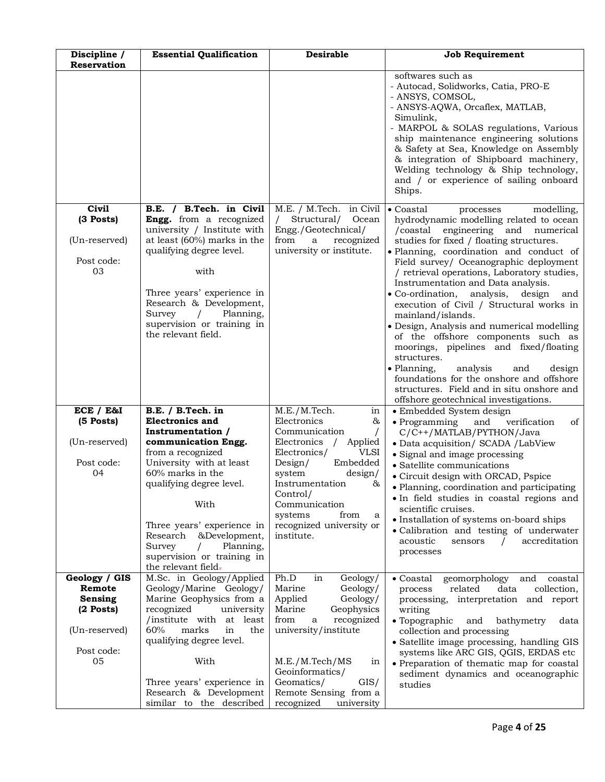| Discipline /<br>Reservation                                                                   | <b>Essential Qualification</b>                                                                                                                                                                                                                                                                                                                   | <b>Desirable</b>                                                                                                                                                                                                                                                                                      | <b>Job Requirement</b>                                                                                                                                                                                                                                                                                                                                                                                                                                                                                                                                                                                                                                                                                                                                                                                 |
|-----------------------------------------------------------------------------------------------|--------------------------------------------------------------------------------------------------------------------------------------------------------------------------------------------------------------------------------------------------------------------------------------------------------------------------------------------------|-------------------------------------------------------------------------------------------------------------------------------------------------------------------------------------------------------------------------------------------------------------------------------------------------------|--------------------------------------------------------------------------------------------------------------------------------------------------------------------------------------------------------------------------------------------------------------------------------------------------------------------------------------------------------------------------------------------------------------------------------------------------------------------------------------------------------------------------------------------------------------------------------------------------------------------------------------------------------------------------------------------------------------------------------------------------------------------------------------------------------|
|                                                                                               |                                                                                                                                                                                                                                                                                                                                                  |                                                                                                                                                                                                                                                                                                       | softwares such as<br>- Autocad, Solidworks, Catia, PRO-E<br>- ANSYS, COMSOL,<br>- ANSYS-AQWA, Orcaflex, MATLAB,<br>Simulink,<br>- MARPOL & SOLAS regulations, Various<br>ship maintenance engineering solutions<br>& Safety at Sea, Knowledge on Assembly<br>& integration of Shipboard machinery,<br>Welding technology & Ship technology,<br>and / or experience of sailing onboard<br>Ships.                                                                                                                                                                                                                                                                                                                                                                                                        |
| Civil<br>(3 Posts)<br>(Un-reserved)<br>Post code:<br>03                                       | B.E. / B.Tech. in Civil<br>Engg. from a recognized<br>university / Institute with<br>at least (60%) marks in the<br>qualifying degree level.<br>with<br>Three years' experience in<br>Research & Development,<br>Planning,<br>Survey<br>$\sqrt{2}$<br>supervision or training in<br>the relevant field.                                          | M.E. / M.Tech. in Civil<br>Structural/<br>Ocean<br>Engg./Geotechnical/<br>from<br>$\mathbf a$<br>recognized<br>university or institute.                                                                                                                                                               | $\bullet$ Coastal<br>modelling,<br>processes<br>hydrodynamic modelling related to ocean<br>/coastal engineering and numerical<br>studies for fixed / floating structures.<br>· Planning, coordination and conduct of<br>Field survey/ Oceanographic deployment<br>/ retrieval operations, Laboratory studies,<br>Instrumentation and Data analysis.<br>$\bullet$ Co-ordination,<br>analysis, design<br>and<br>execution of Civil / Structural works in<br>mainland/islands.<br>· Design, Analysis and numerical modelling<br>of the offshore components such as<br>moorings, pipelines and fixed/floating<br>structures.<br>• Planning,<br>analysis<br>and<br>design<br>foundations for the onshore and offshore<br>structures. Field and in situ onshore and<br>offshore geotechnical investigations. |
| ECE / E&I<br>(5 Posts)<br>(Un-reserved)<br>Post code:<br>04                                   | B.E. / B.Tech. in<br><b>Electronics and</b><br>Instrumentation /<br>communication Engg.<br>from a recognized<br>University with at least<br>60% marks in the<br>qualifying degree level.<br>With<br>Three years' experience in<br>Research &Development,<br>Planning,<br>Survey<br>$\prime$<br>supervision or training in<br>the relevant field- | M.E./M.Tech.<br>in<br>Electronics<br>&<br>Communication<br>$\prime$<br>Electronics / Applied<br>Electronics/<br><b>VLSI</b><br>Embedded<br>Design/<br>system<br>$\rm{design}/$<br>Instrumentation<br>&<br>Control/<br>Communication<br>systems<br>from<br>a<br>recognized university or<br>institute. | • Embedded System design<br>• Programming<br>verification<br>of<br>and<br>C/C++/MATLAB/PYTHON/Java<br>· Data acquisition/ SCADA /LabView<br>• Signal and image processing<br>$\bullet$ Satellite communications<br>• Circuit design with ORCAD, Pspice<br>· Planning, coordination and participating<br>• In field studies in coastal regions and<br>scientific cruises.<br>· Installation of systems on-board ships<br>• Calibration and testing of underwater<br>accreditation<br>acoustic<br>sensors<br>$\prime$<br>processes                                                                                                                                                                                                                                                                       |
| Geology / GIS<br>Remote<br><b>Sensing</b><br>$(2$ Posts)<br>(Un-reserved)<br>Post code:<br>05 | M.Sc. in Geology/Applied<br>Geology/Marine Geology/<br>Marine Geophysics from a<br>recognized<br>university<br>/institute with at least<br>60%<br>marks<br>in<br>the<br>qualifying degree level.<br>With<br>Three years' experience in<br>Research & Development<br>similar to the described                                                     | Ph.D<br>Geology/<br>in<br>Marine<br>Geology/<br>Applied<br>Geology/<br>Marine<br>Geophysics<br>recognized<br>from<br>a<br>university/institute<br>M.E./M.Tech/MS<br>in<br>Geoinformatics/<br>Geomatics/<br>$\frac{GIS}{ }$<br>Remote Sensing from a<br>recognized<br>university                       | • Coastal<br>geomorphology<br>and<br>coastal<br>collection,<br>related<br>data<br>process<br>processing, interpretation and report<br>writing<br>$\bullet$ Topographic<br>and<br>bathymetry<br>data<br>collection and processing<br>• Satellite image processing, handling GIS<br>systems like ARC GIS, QGIS, ERDAS etc<br>• Preparation of thematic map for coastal<br>sediment dynamics and oceanographic<br>studies                                                                                                                                                                                                                                                                                                                                                                                 |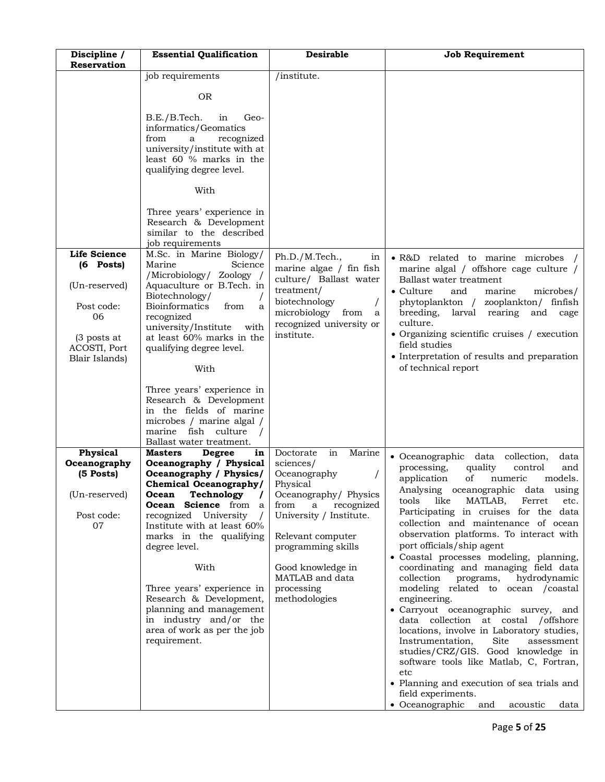| Discipline /<br>Reservation                                                                                                | <b>Essential Qualification</b>                                                                                                                                                                                                                                                                                                                                                                                                                                                                                                                                                                                  | <b>Desirable</b>                                                                                                                                                                                                                                                    | <b>Job Requirement</b>                                                                                                                                                                                                                                                                                                                                                                                                                                                                                                                                                                                                                                                                                                                                                                                                                                                                                                                             |
|----------------------------------------------------------------------------------------------------------------------------|-----------------------------------------------------------------------------------------------------------------------------------------------------------------------------------------------------------------------------------------------------------------------------------------------------------------------------------------------------------------------------------------------------------------------------------------------------------------------------------------------------------------------------------------------------------------------------------------------------------------|---------------------------------------------------------------------------------------------------------------------------------------------------------------------------------------------------------------------------------------------------------------------|----------------------------------------------------------------------------------------------------------------------------------------------------------------------------------------------------------------------------------------------------------------------------------------------------------------------------------------------------------------------------------------------------------------------------------------------------------------------------------------------------------------------------------------------------------------------------------------------------------------------------------------------------------------------------------------------------------------------------------------------------------------------------------------------------------------------------------------------------------------------------------------------------------------------------------------------------|
|                                                                                                                            | job requirements<br><b>OR</b><br>B.E./B.Tech.<br>in<br>Geo-<br>informatics/Geomatics<br>from<br>recognized<br>a<br>university/institute with at<br>least 60 % marks in the<br>qualifying degree level.<br>With<br>Three years' experience in                                                                                                                                                                                                                                                                                                                                                                    | /institute.                                                                                                                                                                                                                                                         |                                                                                                                                                                                                                                                                                                                                                                                                                                                                                                                                                                                                                                                                                                                                                                                                                                                                                                                                                    |
| <b>Life Science</b><br>$(6$ Posts)<br>(Un-reserved)<br>Post code:<br>06<br>$(3$ posts at<br>ACOSTI, Port<br>Blair Islands) | Research & Development<br>similar to the described<br>job requirements<br>M.Sc. in Marine Biology/<br>Marine<br>Science<br>/Microbiology/ Zoology /<br>Aquaculture or B.Tech. in<br>Biotechnology/<br><b>Bioinformatics</b><br>from<br>a<br>recognized<br>university/Institute<br>with<br>at least 60% marks in the<br>qualifying degree level.<br>With                                                                                                                                                                                                                                                         | Ph.D./M.Tech.,<br>in<br>marine algae / fin fish<br>culture/ Ballast water<br>treatment/<br>biotechnology<br>microbiology<br>from<br>a<br>recognized university or<br>institute.                                                                                     | • R&D related to marine microbes /<br>marine algal / offshore cage culture /<br>Ballast water treatment<br>$\bullet$ Culture<br>and<br>marine<br>microbes/<br>phytoplankton /<br>zooplankton/ finfish<br>breeding,<br>larval rearing<br>and<br>cage<br>culture.<br>• Organizing scientific cruises / execution<br>field studies<br>• Interpretation of results and preparation<br>of technical report                                                                                                                                                                                                                                                                                                                                                                                                                                                                                                                                              |
| Physical<br>Oceanography<br>(5 Posts)<br>(Un-reserved)<br>Post code:<br>07                                                 | Three years' experience in<br>Research & Development<br>in the fields of marine<br>microbes / marine algal /<br>marine fish culture<br>Ballast water treatment.<br>Masters<br><b>Degree</b><br>in<br>Oceanography / Physical<br>Oceanography / Physics/<br>Chemical Oceanography/<br>Technology<br>Ocean<br>Science from a<br>Ocean<br>University<br>recognized<br>Institute with at least 60%<br>marks in the qualifying<br>degree level.<br>With<br>Three years' experience in<br>Research & Development,<br>planning and management<br>in industry and/or the<br>area of work as per the job<br>requirement. | Doctorate<br>in<br>Marine<br>sciences/<br>Oceanography<br>Physical<br>Oceanography/ Physics<br>recognized<br>from<br>a<br>University / Institute.<br>Relevant computer<br>programming skills<br>Good knowledge in<br>MATLAB and data<br>processing<br>methodologies | • Oceanographic<br>data collection,<br>data<br>processing,<br>quality<br>control<br>and<br>application<br>of<br>numeric<br>models.<br>Analysing oceanographic data using<br>MATLAB,<br>tools<br>like<br>Ferret<br>etc.<br>Participating in cruises for the data<br>collection and maintenance of ocean<br>observation platforms. To interact with<br>port officials/ship agent<br>• Coastal processes modeling, planning,<br>coordinating and managing field data<br>collection<br>hydrodynamic<br>programs,<br>modeling related to ocean /coastal<br>engineering.<br>• Carryout oceanographic survey, and<br>data collection at costal /offshore<br>locations, involve in Laboratory studies,<br>Site<br>Instrumentation,<br>assessment<br>studies/CRZ/GIS. Good knowledge in<br>software tools like Matlab, C, Fortran,<br>etc<br>• Planning and execution of sea trials and<br>field experiments.<br>• Oceanographic<br>and<br>acoustic<br>data |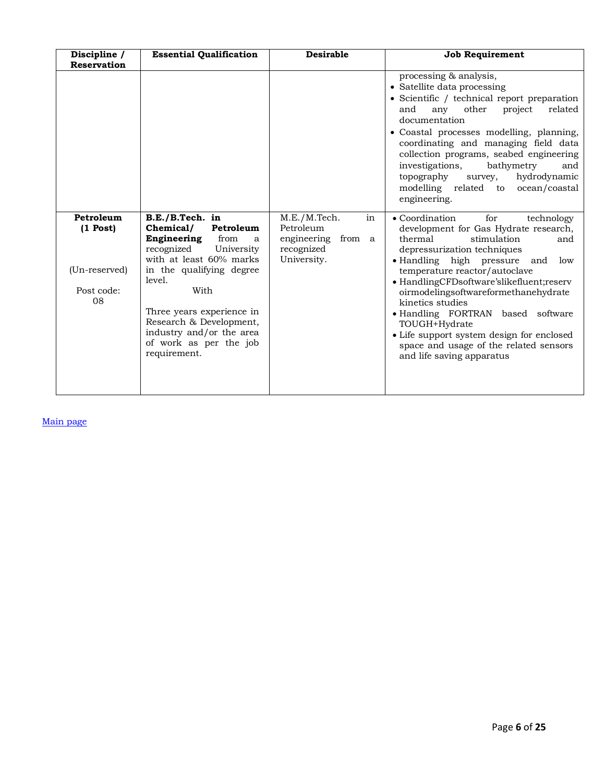| Discipline /<br><b>Reservation</b>                           | <b>Essential Qualification</b>                                                                                                                                                                                                                                                                           | <b>Desirable</b>                                                                      | <b>Job Requirement</b>                                                                                                                                                                                                                                                                                                                                                                                                                                                                                    |
|--------------------------------------------------------------|----------------------------------------------------------------------------------------------------------------------------------------------------------------------------------------------------------------------------------------------------------------------------------------------------------|---------------------------------------------------------------------------------------|-----------------------------------------------------------------------------------------------------------------------------------------------------------------------------------------------------------------------------------------------------------------------------------------------------------------------------------------------------------------------------------------------------------------------------------------------------------------------------------------------------------|
|                                                              |                                                                                                                                                                                                                                                                                                          |                                                                                       | processing & analysis,<br>• Satellite data processing<br>• Scientific / technical report preparation<br>any<br>other<br>related<br>and<br>project<br>documentation<br>• Coastal processes modelling, planning,<br>coordinating and managing field data<br>collection programs, seabed engineering<br>investigations,<br>bathymetry<br>and<br>hydrodynamic<br>topography<br>survey,<br>modelling related to ocean/coastal<br>engineering.                                                                  |
| Petroleum<br>$(1$ Post)<br>(Un-reserved)<br>Post code:<br>08 | B.E./B.Tech. in<br>Chemical/<br>Petroleum<br>Engineering<br>from<br>a<br>recognized<br>University<br>with at least 60% marks<br>in the qualifying degree<br>level.<br>With<br>Three years experience in<br>Research & Development,<br>industry and/or the area<br>of work as per the job<br>requirement. | M.E./M.Tech.<br>in<br>Petroleum<br>from a<br>engineering<br>recognized<br>University. | • Coordination<br>for<br>technology<br>development for Gas Hydrate research,<br>thermal<br>stimulation<br>and<br>depressurization techniques<br>• Handling high pressure<br>and<br>low<br>temperature reactor/autoclave<br>• HandlingCFDsoftware'slikefluent;reserv<br>oirmodelingsoftwareformethanehydrate<br>kinetics studies<br>· Handling FORTRAN based software<br>TOUGH+Hydrate<br>• Life support system design for enclosed<br>space and usage of the related sensors<br>and life saving apparatus |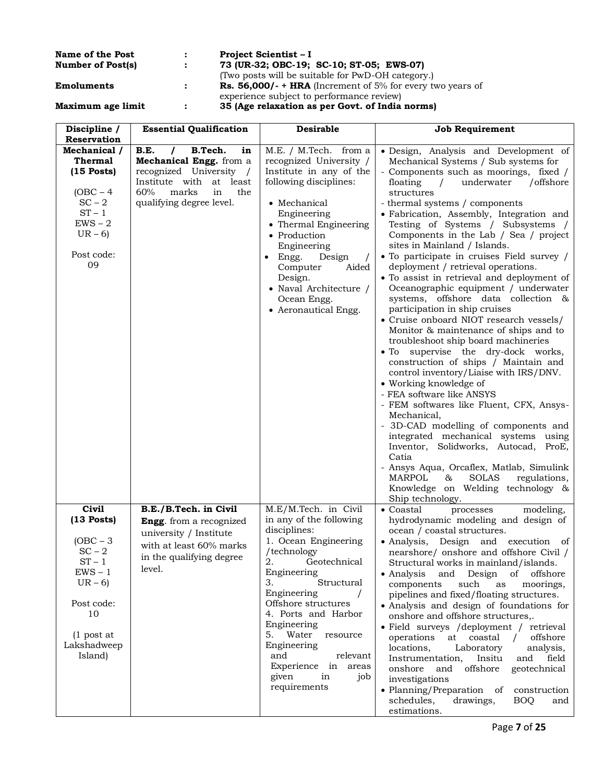| <b>Name of the Post</b>  |                                |                                                                   | <b>Project Scientist – I</b>                      |                  |  |
|--------------------------|--------------------------------|-------------------------------------------------------------------|---------------------------------------------------|------------------|--|
| <b>Number of Post(s)</b> |                                |                                                                   | 73 (UR-32; OBC-19; SC-10; ST-05; EWS-07)          |                  |  |
|                          |                                |                                                                   | (Two posts will be suitable for PwD-OH category.) |                  |  |
| Emoluments               |                                | <b>Rs. 56,000/- + HRA</b> (Increment of 5% for every two years of |                                                   |                  |  |
|                          |                                |                                                                   | experience subject to performance review)         |                  |  |
| Maximum age limit        |                                |                                                                   | 35 (Age relaxation as per Govt. of India norms)   |                  |  |
| <b>Discipline</b>        | <b>Essential Oualification</b> |                                                                   | Desirable                                         | Joh Requirement. |  |

| Discipline /<br><b>Reservation</b>                                                                                          | <b>Essential Qualification</b>                                                                                                                                                 | <b>Desirable</b>                                                                                                                                                                                                                                                                                                              | <b>Job Requirement</b>                                                                                                                                                                                                                                                                                                                                                                                                                                                                                                                                                                                                                                                                                                                                                                                                                                                                                                                                                                                                                                                                                                                                                                                                                                                                                      |
|-----------------------------------------------------------------------------------------------------------------------------|--------------------------------------------------------------------------------------------------------------------------------------------------------------------------------|-------------------------------------------------------------------------------------------------------------------------------------------------------------------------------------------------------------------------------------------------------------------------------------------------------------------------------|-------------------------------------------------------------------------------------------------------------------------------------------------------------------------------------------------------------------------------------------------------------------------------------------------------------------------------------------------------------------------------------------------------------------------------------------------------------------------------------------------------------------------------------------------------------------------------------------------------------------------------------------------------------------------------------------------------------------------------------------------------------------------------------------------------------------------------------------------------------------------------------------------------------------------------------------------------------------------------------------------------------------------------------------------------------------------------------------------------------------------------------------------------------------------------------------------------------------------------------------------------------------------------------------------------------|
| Mechanical /<br>Thermal<br>$(15$ Posts)<br>$(OBC - 4)$<br>$SC - 2$<br>$ST - 1$<br>$EWS - 2$<br>$UR - 6$<br>Post code:<br>09 | B.E.<br>B.Tech.<br>in<br>Mechanical Engg. from a<br>recognized University<br>$\sqrt{ }$<br>Institute with<br>at least<br>60%<br>marks<br>in<br>the<br>qualifying degree level. | M.E. / M.Tech. from a<br>recognized University /<br>Institute in any of the<br>following disciplines:<br>• Mechanical<br>Engineering<br>• Thermal Engineering<br>• Production<br>Engineering<br>Engg.<br>Design<br>$\bullet$<br>Aided<br>Computer<br>Design.<br>• Naval Architecture /<br>Ocean Engg.<br>• Aeronautical Engg. | · Design, Analysis and Development of<br>Mechanical Systems / Sub systems for<br>- Components such as moorings, fixed /<br>underwater<br>/offshore<br>floating<br>$\sqrt{2}$<br>structures<br>- thermal systems / components<br>· Fabrication, Assembly, Integration and<br>Testing of Systems / Subsystems /<br>Components in the Lab / Sea / project<br>sites in Mainland / Islands.<br>• To participate in cruises Field survey /<br>deployment / retrieval operations.<br>• To assist in retrieval and deployment of<br>Oceanographic equipment / underwater<br>systems, offshore data collection &<br>participation in ship cruises<br>• Cruise onboard NIOT research vessels/<br>Monitor & maintenance of ships and to<br>troubleshoot ship board machineries<br>• To supervise the dry-dock works,<br>construction of ships / Maintain and<br>control inventory/Liaise with IRS/DNV.<br>• Working knowledge of<br>- FEA software like ANSYS<br>- FEM softwares like Fluent, CFX, Ansys-<br>Mechanical,<br>- 3D-CAD modelling of components and<br>integrated mechanical systems using<br>Inventor, Solidworks, Autocad,<br>ProE,<br>Catia<br>- Ansys Aqua, Orcaflex, Matlab, Simulink<br><b>MARPOL</b><br>&<br><b>SOLAS</b><br>regulations,<br>Knowledge on Welding technology &<br>Ship technology. |
| <b>Civil</b><br>$(13$ Posts)<br>$(OBC - 3)$<br>$SC - 2$                                                                     | B.E./B.Tech. in Civil<br><b>Engg.</b> from a recognized<br>university / Institute<br>with at least 60% marks<br>in the qualifying degree                                       | M.E/M.Tech. in Civil<br>in any of the following<br>disciplines:<br>1. Ocean Engineering<br>/technology                                                                                                                                                                                                                        | $\bullet$ Coastal<br>modeling,<br>processes<br>hydrodynamic modeling and design of<br>ocean / coastal structures.<br>• Analysis, Design and<br>execution<br>of<br>nearshore/ onshore and offshore Civil /                                                                                                                                                                                                                                                                                                                                                                                                                                                                                                                                                                                                                                                                                                                                                                                                                                                                                                                                                                                                                                                                                                   |
| $ST - 1$<br>$EWS - 1$<br>$UR - 6$                                                                                           | level.                                                                                                                                                                         | 2.<br>Geotechnical<br>Engineering<br>3.<br>Structural<br>Engineering                                                                                                                                                                                                                                                          | Structural works in mainland/islands.<br>• Analysis<br>of offshore<br>and Design<br>components<br>such<br>moorings,<br>as<br>pipelines and fixed/floating structures.                                                                                                                                                                                                                                                                                                                                                                                                                                                                                                                                                                                                                                                                                                                                                                                                                                                                                                                                                                                                                                                                                                                                       |
| Post code:<br>10                                                                                                            |                                                                                                                                                                                | Offshore structures<br>4. Ports and Harbor<br>Engineering                                                                                                                                                                                                                                                                     | • Analysis and design of foundations for<br>onshore and offshore structures,.<br>· Field surveys /deployment / retrieval                                                                                                                                                                                                                                                                                                                                                                                                                                                                                                                                                                                                                                                                                                                                                                                                                                                                                                                                                                                                                                                                                                                                                                                    |
| $(1$ post at<br>Lakshadweep<br>Island)                                                                                      |                                                                                                                                                                                | 5. Water<br>resource<br>Engineering<br>and<br>relevant<br>Experience in areas<br>given<br>in<br>job<br>requirements                                                                                                                                                                                                           | at coastal<br>operations<br>offshore<br>$\sqrt{2}$<br>locations,<br>Laboratory<br>analysis,<br>Instrumentation,<br>field<br>Insitu<br>and<br>geotechnical<br>onshore<br>and offshore<br>investigations<br>• Planning/Preparation of<br>construction<br>schedules,<br>drawings,<br><b>BOQ</b><br>and<br>estimations.                                                                                                                                                                                                                                                                                                                                                                                                                                                                                                                                                                                                                                                                                                                                                                                                                                                                                                                                                                                         |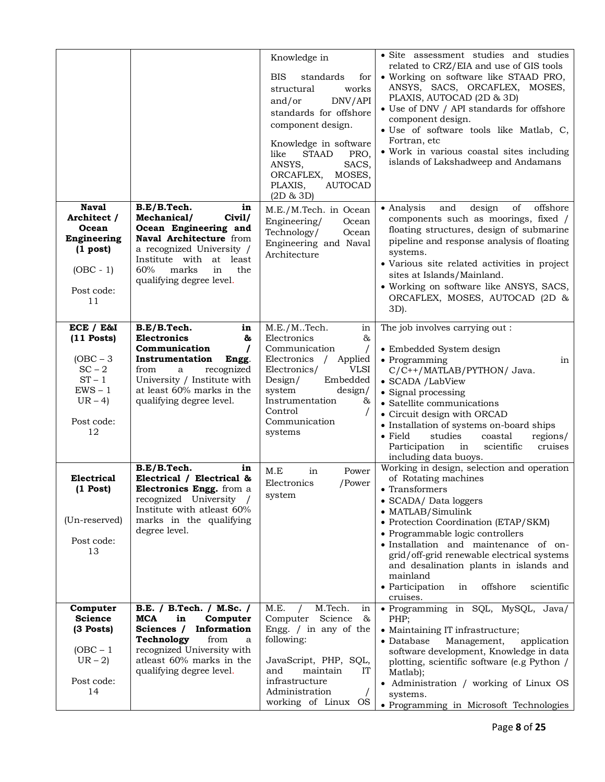|                                                                                                           |                                                                                                                                                                                                                           | Knowledge in<br><b>BIS</b><br>standards<br>for<br>works<br>structural<br>DNV/API<br>and/or<br>standards for offshore<br>component design.<br>Knowledge in software<br>like<br><b>STAAD</b><br>PRO,<br>ANSYS,<br>SACS,<br>ORCAFLEX,<br>MOSES,<br>PLAXIS,<br><b>AUTOCAD</b><br>(2D & 3D) | · Site assessment studies and studies<br>related to CRZ/EIA and use of GIS tools<br>• Working on software like STAAD PRO,<br>ANSYS, SACS, ORCAFLEX, MOSES,<br>PLAXIS, AUTOCAD (2D & 3D)<br>• Use of DNV / API standards for offshore<br>component design.<br>• Use of software tools like Matlab, C,<br>Fortran, etc<br>· Work in various coastal sites including<br>islands of Lakshadweep and Andamans                           |
|-----------------------------------------------------------------------------------------------------------|---------------------------------------------------------------------------------------------------------------------------------------------------------------------------------------------------------------------------|----------------------------------------------------------------------------------------------------------------------------------------------------------------------------------------------------------------------------------------------------------------------------------------|------------------------------------------------------------------------------------------------------------------------------------------------------------------------------------------------------------------------------------------------------------------------------------------------------------------------------------------------------------------------------------------------------------------------------------|
| <b>Naval</b><br>Architect /<br>Ocean<br>Engineering<br>$(1$ post)<br>$(OBC - 1)$<br>Post code:<br>11      | B.E/B.Tech.<br>in<br>Mechanical/<br>Civil/<br>Ocean Engineering and<br>Naval Architecture from<br>a recognized University /<br>Institute with at least<br>60%<br>marks<br>in<br>the<br>qualifying degree level.           | M.E./M.Tech. in Ocean<br>Engineering/<br>Ocean<br>Technology/<br>Ocean<br>Engineering and Naval<br>Architecture                                                                                                                                                                        | offshore<br>of<br>• Analysis<br>and<br>design<br>components such as moorings, fixed /<br>floating structures, design of submarine<br>pipeline and response analysis of floating<br>systems.<br>• Various site related activities in project<br>sites at Islands/Mainland.<br>• Working on software like ANSYS, SACS,<br>ORCAFLEX, MOSES, AUTOCAD (2D &<br>3D).                                                                     |
| ECE / E&I<br>$(11$ Posts)<br>$(OBC - 3)$<br>$SC-2$<br>$ST - 1$<br>$EWS - 1$<br>$UR-4$<br>Post code:<br>12 | B.E/B.Tech.<br>in<br><b>Electronics</b><br>ಹಿ<br>Communication<br>$\prime$<br>Instrumentation<br>Engg.<br>recognized<br>from<br>a<br>University / Institute with<br>at least 60% marks in the<br>qualifying degree level. | M.E./MTech.<br>in<br>Electronics<br>&<br>Communication<br>Electronics / Applied<br>Electronics/<br><b>VLSI</b><br>Embedded<br>Design/<br>system<br>design/<br>Instrumentation<br>&<br>Control<br>Communication<br>systems                                                              | The job involves carrying out:<br>• Embedded System design<br>• Programming<br>in<br>C/C++/MATLAB/PYTHON/ Java.<br>• SCADA /LabView<br>• Signal processing<br>• Satellite communications<br>• Circuit design with ORCAD<br>• Installation of systems on-board ships<br>studies<br>$\bullet$ Field<br>coastal<br>regions/<br>Participation<br>scientific<br>cruises<br>in<br>including data buoys.                                  |
| Electrical<br>$(1$ Post)<br>(Un-reserved)<br>Post code:<br>13                                             | B.E/B.Tech.<br>in<br>Electrical / Electrical &<br>Electronics Engg. from a<br>recognized University /<br>Institute with atleast 60%<br>marks in the qualifying<br>degree level.                                           | M.E<br>in<br>Power<br>Electronics<br>/Power<br>system                                                                                                                                                                                                                                  | Working in design, selection and operation<br>of Rotating machines<br>$\bullet$ Transformers<br>• SCADA/ Data loggers<br>• MATLAB/Simulink<br>• Protection Coordination (ETAP/SKM)<br>• Programmable logic controllers<br>· Installation and maintenance of on-<br>grid/off-grid renewable electrical systems<br>and desalination plants in islands and<br>mainland<br>• Participation<br>offshore<br>scientific<br>in<br>cruises. |
| Computer<br><b>Science</b><br>(3 Posts)<br>$(OBC - 1)$<br>$UR-2$<br>Post code:<br>14                      | B.E. / B.Tech. / M.Sc. /<br>MCA<br>Computer<br>in<br>Sciences /<br>Information<br>Technology<br>from<br>a<br>recognized University with<br>atleast 60% marks in the<br>qualifying degree level.                           | M.Tech.<br>M.E.<br>in<br>Science<br>Computer<br>&<br>Engg. $/$ in any of the<br>following:<br>JavaScript, PHP, SQL,<br>and<br>maintain<br>IT<br>infrastructure<br>Administration<br>$\sqrt{2}$<br>working of Linux OS                                                                  | · Programming in SQL, MySQL, Java/<br>PHP:<br>• Maintaining IT infrastructure;<br>• Database<br>Management,<br>application<br>software development, Knowledge in data<br>plotting, scientific software (e.g Python /<br>Matlab);<br>• Administration / working of Linux OS<br>systems.<br>• Programming in Microsoft Technologies                                                                                                  |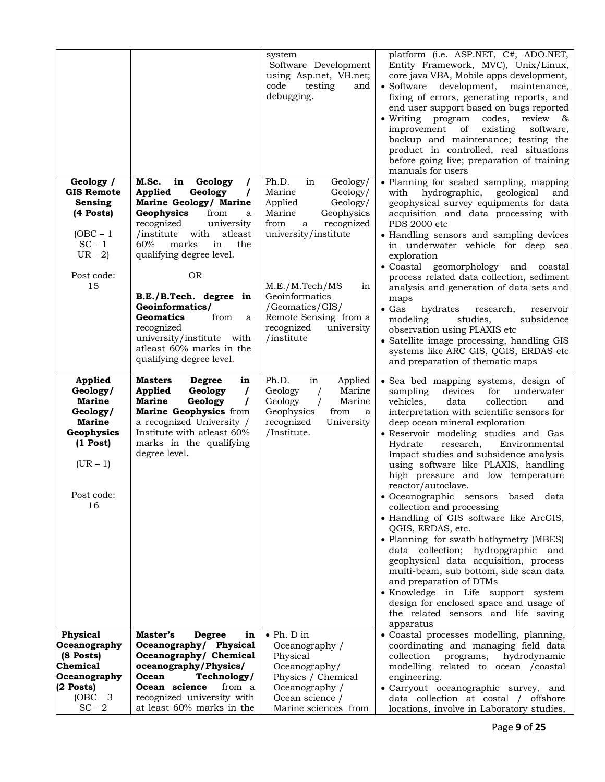|                                                                                                                                        |                                                                                                                                                                                                                                                                                                                                                                                                                                               | system<br>Software Development<br>using Asp.net, VB.net;<br>code<br>testing<br>and<br>debugging.                                                                                                                                                                                | platform (i.e. ASP.NET, C#, ADO.NET,<br>Entity Framework, MVC), Unix/Linux,<br>core java VBA, Mobile apps development,<br>development,<br>$\bullet$ Software<br>maintenance,<br>fixing of errors, generating reports, and<br>end user support based on bugs reported<br>$\bullet$ Writing<br>program<br>codes,<br>review<br>$-\infty$<br>improvement<br>existing<br>of<br>software,<br>backup and maintenance; testing the<br>product in controlled, real situations<br>before going live; preparation of training<br>manuals for users                                                                                                                                                                                                                                                                                                                                                                          |
|----------------------------------------------------------------------------------------------------------------------------------------|-----------------------------------------------------------------------------------------------------------------------------------------------------------------------------------------------------------------------------------------------------------------------------------------------------------------------------------------------------------------------------------------------------------------------------------------------|---------------------------------------------------------------------------------------------------------------------------------------------------------------------------------------------------------------------------------------------------------------------------------|------------------------------------------------------------------------------------------------------------------------------------------------------------------------------------------------------------------------------------------------------------------------------------------------------------------------------------------------------------------------------------------------------------------------------------------------------------------------------------------------------------------------------------------------------------------------------------------------------------------------------------------------------------------------------------------------------------------------------------------------------------------------------------------------------------------------------------------------------------------------------------------------------------------|
| Geology /<br><b>GIS Remote</b><br>Sensing<br>(4 Posts)<br>$(OBC - 1)$<br>$SC - 1$<br>$UR - 2$<br>Post code:<br>15                      | M.Sc.<br>in<br>Geology<br>$\prime$<br>Applied<br>Geology<br>$\prime$<br>Marine Geology/ Marine<br>Geophysics<br>from<br>a<br>recognized<br>university<br>atleast<br>/institute<br>with<br>60%<br>marks<br>in<br>the<br>qualifying degree level.<br><b>OR</b><br>B.E./B.Tech. degree in<br>Geoinformatics/<br><b>Geomatics</b><br>from<br>a<br>recognized<br>university/institute with<br>atleast 60% marks in the<br>qualifying degree level. | Ph.D.<br>in<br>Geology/<br>Marine<br>Geology/<br>Applied<br>Geology/<br>Marine<br>Geophysics<br>from<br>recognized<br>a<br>university/institute<br>M.E./M.Tech/MS<br>in<br>Geoinformatics<br>/Geomatics/GIS/<br>Remote Sensing from a<br>recognized<br>university<br>/institute | · Planning for seabed sampling, mapping<br>with<br>hydrographic,<br>geological<br>and<br>geophysical survey equipments for data<br>acquisition and data processing with<br>PDS 2000 etc<br>• Handling sensors and sampling devices<br>in underwater vehicle for deep sea<br>exploration<br>• Coastal<br>geomorphology<br>and<br>coastal<br>process related data collection, sediment<br>analysis and generation of data sets and<br>maps<br>$\bullet$ Gas<br>hydrates<br>research,<br>reservoir<br>modeling<br>studies,<br>subsidence<br>observation using PLAXIS etc<br>• Satellite image processing, handling GIS<br>systems like ARC GIS, QGIS, ERDAS etc<br>and preparation of thematic maps                                                                                                                                                                                                                 |
| <b>Applied</b><br>Geology/<br><b>Marine</b><br>Geology/<br><b>Marine</b><br>Geophysics<br>$(1$ Post)<br>$(UR - 1)$<br>Post code:<br>16 | <b>Masters</b><br><b>Degree</b><br>in<br>Geology<br><b>Applied</b><br>$\prime$<br><b>Marine</b><br>Geology<br>$\prime$<br>Marine Geophysics from<br>a recognized University /<br>Institute with atleast 60%<br>marks in the qualifying<br>degree level.                                                                                                                                                                                       | Ph.D.<br>in<br>Applied<br>Geology<br>Marine<br>Geology<br>Marine<br>$\prime$<br>Geophysics<br>from<br>a<br>recognized<br>University<br>/Institute.                                                                                                                              | · Sea bed mapping systems, design of<br>devices<br>sampling<br>for<br>underwater<br>collection<br>vehicles,<br>data<br>and<br>interpretation with scientific sensors for<br>deep ocean mineral exploration<br>· Reservoir modeling studies and Gas<br>Environmental<br>Hydrate<br>research,<br>Impact studies and subsidence analysis<br>using software like PLAXIS, handling<br>high pressure and low temperature<br>reactor/autoclave.<br>• Oceanographic sensors based data<br>collection and processing<br>• Handling of GIS software like ArcGIS,<br>QGIS, ERDAS, etc.<br>• Planning for swath bathymetry (MBES)<br>data collection; hydropgraphic<br>and<br>geophysical data acquisition, process<br>multi-beam, sub bottom, side scan data<br>and preparation of DTMs<br>· Knowledge in Life support system<br>design for enclosed space and usage of<br>the related sensors and life saving<br>apparatus |
| Physical<br>Oceanography<br>(8 Posts)<br>Chemical<br>Oceanography<br>$(2$ Posts)<br>$(OBC - 3)$<br>$SC - 2$                            | Master's<br><b>Degree</b><br>in<br>Oceanography/ Physical<br>Oceanography/ Chemical<br>oceanography/Physics/<br>Ocean<br>Technology/<br>Ocean science<br>from a<br>recognized university with<br>at least 60% marks in the                                                                                                                                                                                                                    | $\bullet$ Ph. D in<br>Oceanography /<br>Physical<br>Oceanography/<br>Physics / Chemical<br>Oceanography /<br>Ocean science /<br>Marine sciences from                                                                                                                            | · Coastal processes modelling, planning,<br>coordinating and managing field data<br>hydrodynamic<br>collection<br>programs,<br>modelling related to ocean /coastal<br>engineering.<br>· Carryout oceanographic survey, and<br>data collection at costal / offshore<br>locations, involve in Laboratory studies,                                                                                                                                                                                                                                                                                                                                                                                                                                                                                                                                                                                                  |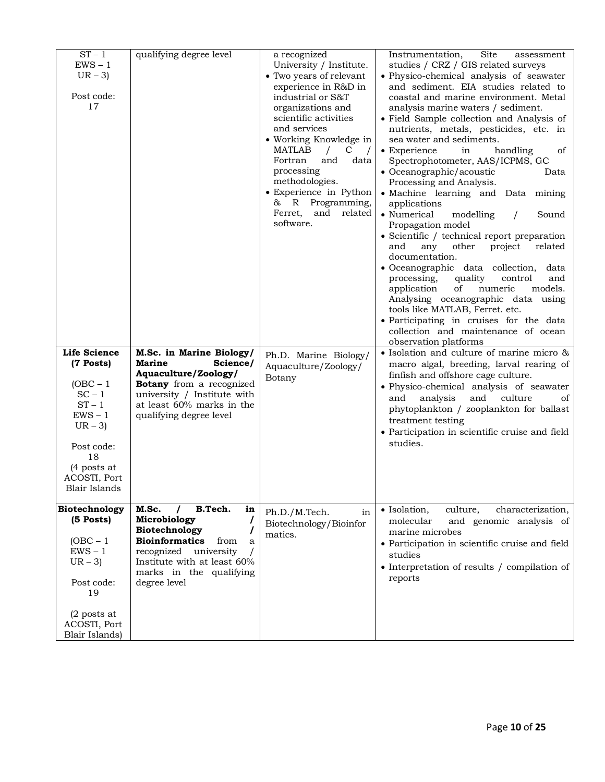| $\overline{ST} - 1$<br>$EWS - 1$<br>$UR - 3$<br>Post code:<br>17                                                                                                            | qualifying degree level                                                                                                                                                                                              | a recognized<br>University / Institute.<br>• Two years of relevant<br>experience in R&D in<br>industrial or S&T<br>organizations and<br>scientific activities<br>and services<br>• Working Knowledge in<br>MATLAB<br>$\sqrt{2}$<br>C<br>Fortran<br>and<br>data<br>processing<br>methodologies.<br>• Experience in Python<br>& R Programming,<br>Ferret,<br>and<br>related<br>software. | Site<br>Instrumentation,<br>assessment<br>studies / CRZ / GIS related surveys<br>• Physico-chemical analysis of seawater<br>and sediment. EIA studies related to<br>coastal and marine environment. Metal<br>analysis marine waters / sediment.<br>• Field Sample collection and Analysis of<br>nutrients, metals, pesticides, etc. in<br>sea water and sediments.<br>• Experience<br>handling<br>in<br>of<br>Spectrophotometer, AAS/ICPMS, GC<br>• Oceanographic/acoustic<br>Data<br>Processing and Analysis.<br>· Machine learning and Data mining<br>applications<br>• Numerical<br>modelling<br>Sound<br>$\prime$<br>Propagation model<br>• Scientific / technical report preparation<br>project<br>related<br>and<br>any<br>other<br>documentation.<br>• Oceanographic data collection,<br>data<br>processing,<br>quality<br>control<br>and<br>numeric<br>models.<br>application<br>of<br>Analysing oceanographic data using<br>tools like MATLAB, Ferret. etc.<br>· Participating in cruises for the data<br>collection and maintenance of ocean<br>observation platforms |
|-----------------------------------------------------------------------------------------------------------------------------------------------------------------------------|----------------------------------------------------------------------------------------------------------------------------------------------------------------------------------------------------------------------|----------------------------------------------------------------------------------------------------------------------------------------------------------------------------------------------------------------------------------------------------------------------------------------------------------------------------------------------------------------------------------------|---------------------------------------------------------------------------------------------------------------------------------------------------------------------------------------------------------------------------------------------------------------------------------------------------------------------------------------------------------------------------------------------------------------------------------------------------------------------------------------------------------------------------------------------------------------------------------------------------------------------------------------------------------------------------------------------------------------------------------------------------------------------------------------------------------------------------------------------------------------------------------------------------------------------------------------------------------------------------------------------------------------------------------------------------------------------------------|
| <b>Life Science</b><br>(7 Posts)<br>$(OBC - 1)$<br>$SC - 1$<br>$ST - 1$<br>$EWS - 1$<br>$UR - 3$<br>Post code:<br>18<br>(4 posts at<br>ACOSTI, Port<br><b>Blair Islands</b> | M.Sc. in Marine Biology/<br>Science/<br><b>Marine</b><br>Aquaculture/Zoology/<br><b>Botany</b> from a recognized<br>university / Institute with<br>at least 60% marks in the<br>qualifying degree level              | Ph.D. Marine Biology/<br>Aquaculture/Zoology/<br>Botany                                                                                                                                                                                                                                                                                                                                | • Isolation and culture of marine micro &<br>macro algal, breeding, larval rearing of<br>finfish and offshore cage culture.<br>• Physico-chemical analysis of seawater<br>analysis<br>and<br>culture<br>and<br>οf<br>phytoplankton / zooplankton for ballast<br>treatment testing<br>• Participation in scientific cruise and field<br>studies.                                                                                                                                                                                                                                                                                                                                                                                                                                                                                                                                                                                                                                                                                                                                 |
| Biotechnology<br>(5 Posts)<br>$(OBC - 1)$<br>$EWS - 1$<br>$UR - 3$<br>Post code:<br>19<br>$(2$ posts at<br>ACOSTI, Port<br>Blair Islands)                                   | M.Sc.<br>B.Tech.<br>in<br>Microbiology<br>7<br>Biotechnology<br>$\prime$<br><b>Bioinformatics</b><br>from<br>a<br>recognized<br>university<br>Institute with at least 60%<br>marks in the qualifying<br>degree level | Ph.D./M.Tech.<br>in<br>Biotechnology/Bioinfor<br>matics.                                                                                                                                                                                                                                                                                                                               | • Isolation,<br>culture,<br>characterization,<br>molecular<br>and genomic analysis of<br>marine microbes<br>• Participation in scientific cruise and field<br>studies<br>• Interpretation of results / compilation of<br>reports                                                                                                                                                                                                                                                                                                                                                                                                                                                                                                                                                                                                                                                                                                                                                                                                                                                |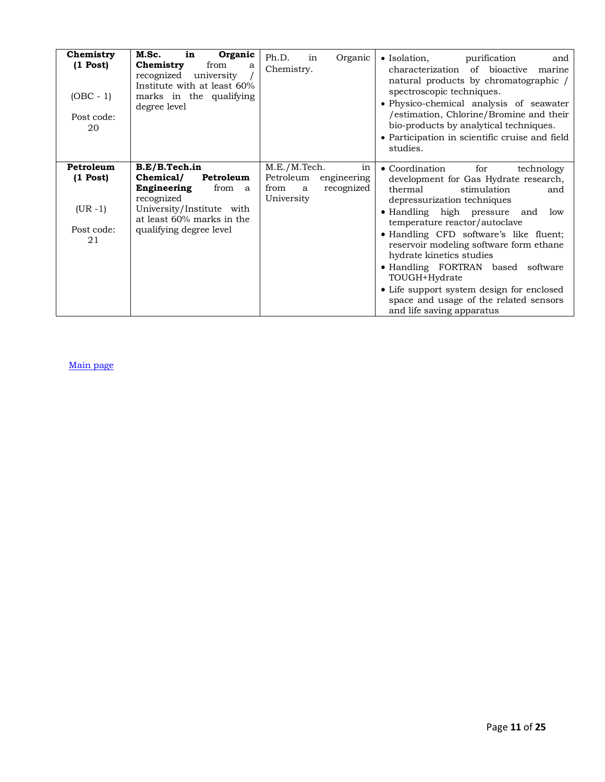| Chemistry<br>$(1$ Post $)$<br>$(OBC - 1)$<br>Post code:<br>20 | M.Sc.<br>in<br>Organic<br>from<br>Chemistry<br>a<br>recognized<br>university<br>Institute with at least 60%<br>marks in the qualifying<br>degree level                            | Ph.D.<br>Organic<br>in<br>Chemistry.                                                    | $\bullet$ Isolation,<br>purification<br>and<br>of bioactive<br>characterization<br>marine<br>natural products by chromatographic /<br>spectroscopic techniques.<br>• Physico-chemical analysis of seawater<br>/estimation, Chlorine/Bromine and their<br>bio-products by analytical techniques.<br>• Participation in scientific cruise and field<br>studies.                                                                                                                                                   |
|---------------------------------------------------------------|-----------------------------------------------------------------------------------------------------------------------------------------------------------------------------------|-----------------------------------------------------------------------------------------|-----------------------------------------------------------------------------------------------------------------------------------------------------------------------------------------------------------------------------------------------------------------------------------------------------------------------------------------------------------------------------------------------------------------------------------------------------------------------------------------------------------------|
| Petroleum<br>$(1$ Post)<br>$(UR - 1)$<br>Post code:<br>21     | B.E/B.Tech.in<br>Chemical/<br>Petroleum<br>Engineering<br>from<br><sub>a</sub><br>recognized<br>University/Institute with<br>at least 60% marks in the<br>qualifying degree level | M.E./M.Tech.<br>in<br>Petroleum<br>engineering<br>recognized<br>from<br>a<br>University | • Coordination<br>for<br>technology<br>development for Gas Hydrate research,<br>thermal<br>stimulation<br>and<br>depressurization techniques<br>• Handling high pressure and<br>low<br>temperature reactor/autoclave<br>• Handling CFD software's like fluent;<br>reservoir modeling software form ethane<br>hydrate kinetics studies<br>• Handling FORTRAN based software<br>TOUGH+Hydrate<br>• Life support system design for enclosed<br>space and usage of the related sensors<br>and life saving apparatus |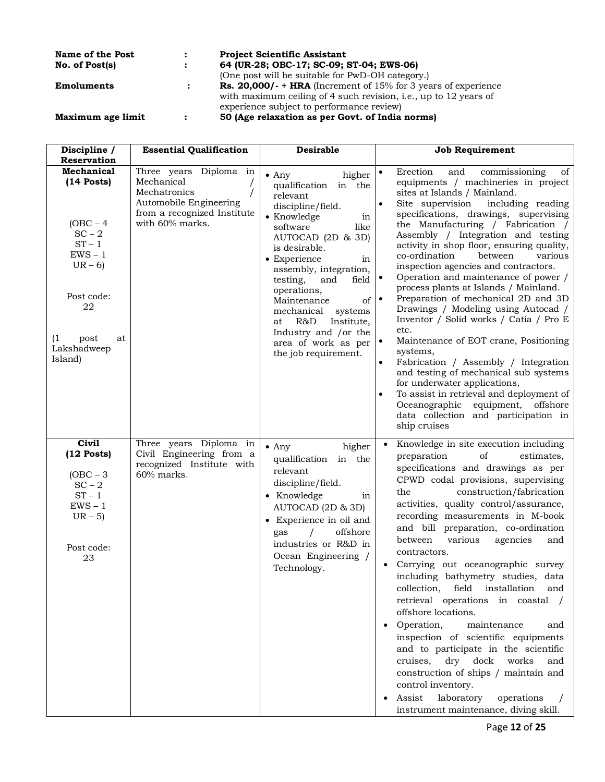| Name of the Post  |           | <b>Project Scientific Assistant</b>                                      |
|-------------------|-----------|--------------------------------------------------------------------------|
| No. of Post(s)    | $\bullet$ | 64 (UR-28; OBC-17; SC-09; ST-04; EWS-06)                                 |
|                   |           | (One post will be suitable for PwD-OH category.)                         |
| <b>Emoluments</b> |           | <b>Rs. 20,000/- + HRA</b> (Increment of $15\%$ for 3 years of experience |
|                   |           | with maximum ceiling of 4 such revision, i.e., up to 12 years of         |
|                   |           | experience subject to performance review)                                |
| Maximum age limit | $\bullet$ | 50 (Age relaxation as per Govt. of India norms)                          |

| Discipline /                                                                                                                                                                 | <b>Essential Qualification</b>                                                                                                   | <b>Desirable</b>                                                                                                                                                                                                                                                                                                                                                                                           | Job Requirement                                                                                                                                                                                                                                                                                                                                                                                                                                                                                                                                                                                                                                                                                                                                                                                                                                                                                                                                                               |
|------------------------------------------------------------------------------------------------------------------------------------------------------------------------------|----------------------------------------------------------------------------------------------------------------------------------|------------------------------------------------------------------------------------------------------------------------------------------------------------------------------------------------------------------------------------------------------------------------------------------------------------------------------------------------------------------------------------------------------------|-------------------------------------------------------------------------------------------------------------------------------------------------------------------------------------------------------------------------------------------------------------------------------------------------------------------------------------------------------------------------------------------------------------------------------------------------------------------------------------------------------------------------------------------------------------------------------------------------------------------------------------------------------------------------------------------------------------------------------------------------------------------------------------------------------------------------------------------------------------------------------------------------------------------------------------------------------------------------------|
| Reservation<br>Mechanical<br>$(14$ Posts)<br>$(OBC - 4)$<br>$SC - 2$<br>$ST - 1$<br>$EWS - 1$<br>$UR - 6$<br>Post code:<br>22<br>(1)<br>post<br>at<br>Lakshadweep<br>Island) | Three years Diploma in<br>Mechanical<br>Mechatronics<br>Automobile Engineering<br>from a recognized Institute<br>with 60% marks. | $\bullet$ Any<br>higher<br>qualification in the<br>relevant<br>discipline/field.<br>• Knowledge<br>in<br>like<br>software<br>AUTOCAD (2D & 3D)<br>is desirable.<br>• Experience<br>in<br>assembly, integration,<br>testing,<br>and<br>field<br>operations,<br>of<br>Maintenance<br>mechanical<br>systems<br>R&D<br>Institute,<br>at<br>Industry and /or the<br>area of work as per<br>the job requirement. | Erection<br>and<br>commissioning<br>of<br>$\bullet$<br>equipments / machineries in project<br>sites at Islands / Mainland.<br>Site supervision<br>including reading<br>specifications, drawings, supervising<br>the Manufacturing / Fabrication /<br>Assembly / Integration and testing<br>activity in shop floor, ensuring quality,<br>co-ordination<br>between<br>various<br>inspection agencies and contractors.<br>Operation and maintenance of power /<br>process plants at Islands / Mainland.<br>Preparation of mechanical 2D and 3D<br>$\bullet$<br>Drawings / Modeling using Autocad /<br>Inventor / Solid works / Catia / Pro E<br>etc.<br>Maintenance of EOT crane, Positioning<br>$\bullet$<br>systems,<br>Fabrication / Assembly / Integration<br>and testing of mechanical sub systems<br>for underwater applications,<br>To assist in retrieval and deployment of<br>Oceanographic equipment, offshore<br>data collection and participation in<br>ship cruises |
| <b>Civil</b><br>$(12$ Posts)<br>$(OBC - 3)$<br>$SC-2$<br>$ST - 1$<br>$EWS - 1$<br>$UR - 5$<br>Post code:<br>23                                                               | Three years Diploma in<br>Civil Engineering from a<br>recognized Institute with<br>60% marks.                                    | $\bullet$ Any<br>higher<br>qualification in the<br>relevant<br>discipline/field.<br>• Knowledge<br>in<br>AUTOCAD (2D & 3D)<br>• Experience in oil and<br>offshore<br>gas<br>industries or R&D in<br>Ocean Engineering /<br>Technology.                                                                                                                                                                     | Knowledge in site execution including<br>$\bullet$<br>preparation<br>estimates,<br>of<br>specifications and drawings as per<br>CPWD codal provisions, supervising<br>the<br>construction/fabrication<br>activities, quality control/assurance,<br>recording measurements in M-book<br>and bill preparation, co-ordination<br>various<br>agencies<br>between<br>and<br>contractors.<br>Carrying out oceanographic survey<br>including bathymetry studies, data<br>collection, field installation and<br>retrieval operations in coastal /<br>offshore locations.<br>Operation,<br>maintenance<br>and<br>inspection of scientific equipments<br>and to participate in the scientific<br>cruises,<br>dry<br>dock<br>works<br>and<br>construction of ships / maintain and<br>control inventory.<br>laboratory<br>Assist<br>operations<br>instrument maintenance, diving skill.                                                                                                    |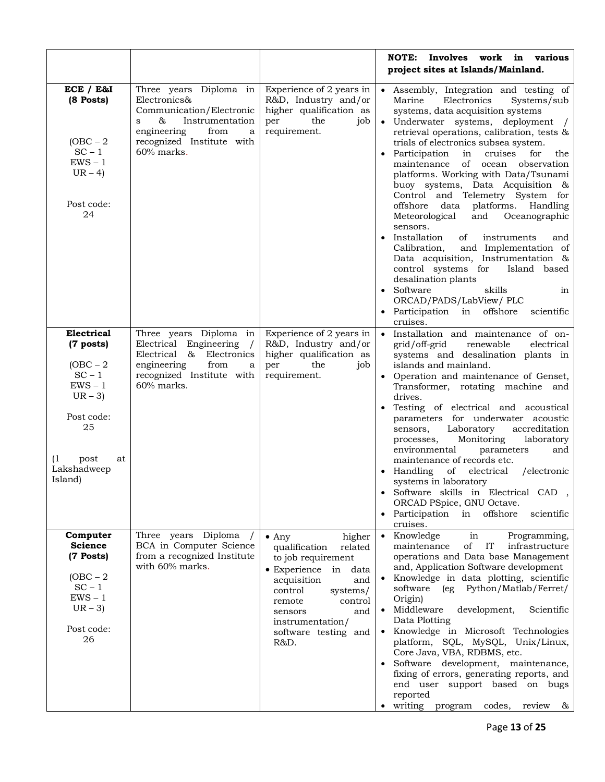|                                                                                                                                                |                                                                                                                                                                        |                                                                                                                                                                                                                                                | <b>NOTE:</b><br>Involves work in various<br>project sites at Islands/Mainland.                                                                                                                                                                                                                                                                                                                                                                                                                                                                                                                                                                                                                                                                                                                                                                                     |
|------------------------------------------------------------------------------------------------------------------------------------------------|------------------------------------------------------------------------------------------------------------------------------------------------------------------------|------------------------------------------------------------------------------------------------------------------------------------------------------------------------------------------------------------------------------------------------|--------------------------------------------------------------------------------------------------------------------------------------------------------------------------------------------------------------------------------------------------------------------------------------------------------------------------------------------------------------------------------------------------------------------------------------------------------------------------------------------------------------------------------------------------------------------------------------------------------------------------------------------------------------------------------------------------------------------------------------------------------------------------------------------------------------------------------------------------------------------|
| ECE / E&I<br>(8 Posts)<br>$(OBC - 2)$<br>$SC - 1$<br>$EWS - 1$<br>$UR-4$<br>Post code:<br>24                                                   | Three years Diploma in<br>Electronics&<br>Communication/Electronic<br>Instrumentation<br>&<br>S<br>engineering<br>from<br>a<br>recognized Institute with<br>60% marks. | Experience of 2 years in<br>R&D, Industry and/or<br>higher qualification as<br>the<br>per<br>job<br>requirement.                                                                                                                               | Assembly, Integration and testing of<br>Marine<br>Electronics<br>Systems/sub<br>systems, data acquisition systems<br>• Underwater systems, deployment<br>retrieval operations, calibration, tests &<br>trials of electronics subsea system.<br>Participation<br>cruises<br>in<br>for<br>the<br>of<br>maintenance<br>ocean observation<br>platforms. Working with Data/Tsunami<br>buoy systems, Data Acquisition &<br>Control and Telemetry System for<br>platforms. Handling<br>offshore<br>data<br>Oceanographic<br>Meteorological<br>and<br>sensors.<br>• Installation<br>of<br>instruments<br>and<br>Calibration,<br>and Implementation of<br>Data acquisition, Instrumentation &<br>control systems for<br>Island based<br>desalination plants<br>Software<br>skills<br>in<br>ORCAD/PADS/LabView/ PLC<br>• Participation in offshore<br>scientific<br>cruises. |
| Electrical<br>(7 posts)<br>$(OBC - 2)$<br>$SC - 1$<br>$EWS - 1$<br>$UR - 3$<br>Post code:<br>25<br>(1)<br>post<br>at<br>Lakshadweep<br>Island) | Three years Diploma in<br>Engineering<br>Electrical<br>Electrical &<br>Electronics<br>engineering<br>from<br>a<br>recognized Institute with<br>60% marks.              | Experience of 2 years in<br>R&D, Industry and/or<br>higher qualification as<br>per<br>the<br>job<br>requirement.                                                                                                                               | Installation and maintenance of on-<br>$\bullet$<br>grid/off-grid<br>renewable<br>electrical<br>systems and desalination plants in<br>islands and mainland.<br>• Operation and maintenance of Genset,<br>Transformer, rotating machine and<br>drives.<br>• Testing of electrical and acoustical<br>parameters for underwater acoustic<br>Laboratory<br>accreditation<br>sensors,<br>Monitoring<br>laboratory<br>processes,<br>environmental<br>parameters<br>and<br>maintenance of records etc.<br>• Handling<br>of<br>electrical<br>/electronic<br>systems in laboratory<br>Software skills in Electrical CAD ,<br>ORCAD PSpice, GNU Octave.<br>• Participation<br>offshore<br>in<br>scientific<br>cruises.                                                                                                                                                       |
| Computer<br><b>Science</b><br>(7 Posts)<br>$(OBC - 2)$<br>$SC - 1$<br>$EWS - 1$<br>$UR - 3$<br>Post code:<br>26                                | Three years Diploma<br>BCA in Computer Science<br>from a recognized Institute<br>with 60% marks.                                                                       | $•$ Any<br>higher<br>qualification<br>related<br>to job requirement<br>$\bullet$ Experience in<br>data<br>acquisition<br>and<br>control<br>systems/<br>control<br>remote<br>and<br>sensors<br>instrumentation/<br>software testing and<br>R&D. | • Knowledge<br>Programming,<br>in<br>maintenance<br>of<br>IT<br>infrastructure<br>operations and Data base Management<br>and, Application Software development<br>• Knowledge in data plotting, scientific<br>Python/Matlab/Ferret/<br>software<br>(eg)<br>Origin)<br>Middleware<br>development,<br>Scientific<br>$\bullet$<br>Data Plotting<br>• Knowledge in Microsoft Technologies<br>platform, SQL, MySQL, Unix/Linux,<br>Core Java, VBA, RDBMS, etc.<br>Software development, maintenance,<br>fixing of errors, generating reports, and<br>end user support based on bugs<br>reported<br>writing<br>program<br>codes,<br>review<br>&                                                                                                                                                                                                                          |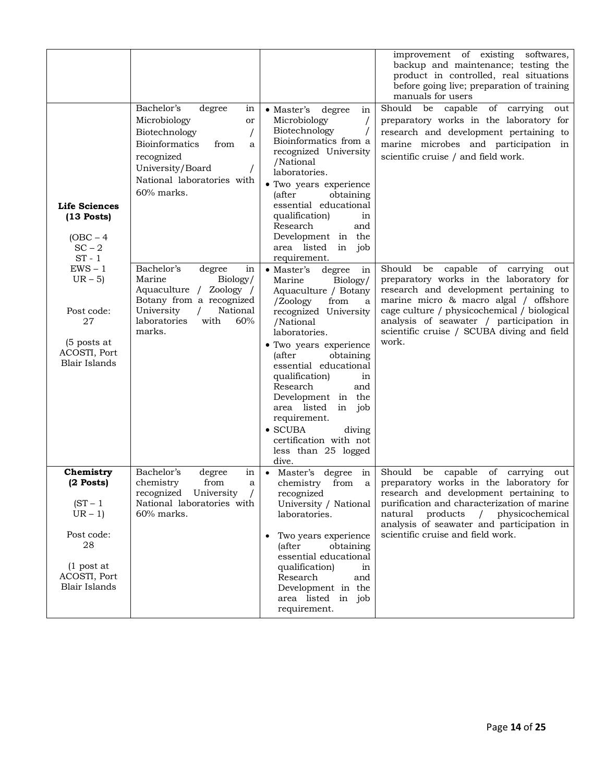|                                                                                                                               |                                                                                                                                                                                       |                                                                                                                                                                                                                                                                                                                                                                                                                                             | improvement of existing<br>softwares,<br>backup and maintenance; testing the<br>product in controlled, real situations<br>before going live; preparation of training<br>manuals for users                                                                                                                                       |
|-------------------------------------------------------------------------------------------------------------------------------|---------------------------------------------------------------------------------------------------------------------------------------------------------------------------------------|---------------------------------------------------------------------------------------------------------------------------------------------------------------------------------------------------------------------------------------------------------------------------------------------------------------------------------------------------------------------------------------------------------------------------------------------|---------------------------------------------------------------------------------------------------------------------------------------------------------------------------------------------------------------------------------------------------------------------------------------------------------------------------------|
| <b>Life Sciences</b><br>$(13$ Posts)<br>$(OBC - 4)$<br>$SC - 2$<br>$ST - 1$                                                   | Bachelor's<br>degree<br>in<br>Microbiology<br>or<br>Biotechnology<br><b>Bioinformatics</b><br>from<br>a<br>recognized<br>University/Board<br>National laboratories with<br>60% marks. | $\bullet$ Master's<br>degree<br>in<br>Microbiology<br>Biotechnology<br>Bioinformatics from a<br>recognized University<br>/National<br>laboratories.<br>· Two years experience<br>obtaining<br><i>(after</i><br>essential educational<br>qualification)<br>in<br>Research<br>and<br>Development in the<br>area listed<br>in job<br>requirement.                                                                                              | Should<br>capable<br>be<br>of carrying<br>out<br>preparatory works in the laboratory for<br>research and development pertaining to<br>marine microbes and participation in<br>scientific cruise / and field work.                                                                                                               |
| $EWS - 1$<br>$UR - 5$<br>Post code:<br>27<br>(5 posts at<br>ACOSTI, Port<br><b>Blair Islands</b>                              | Bachelor's<br>in<br>degree<br>Marine<br>Biology/<br>Aquaculture / Zoology /<br>Botany from a recognized<br>University<br>National<br>laboratories<br>60%<br>with<br>marks.            | • Master's<br>degree<br>in<br>Biology/<br>Marine<br>Aquaculture / Botany<br>/Zoology<br>from<br>a<br>recognized University<br>/National<br>laboratories.<br>• Two years experience<br><i>(after)</i><br>obtaining<br>essential educational<br>qualification)<br>in<br>Research<br>and<br>Development in the<br>area listed<br>in job<br>requirement.<br>$\bullet$ SCUBA<br>diving<br>certification with not<br>less than 25 logged<br>dive. | Should<br>be<br>capable<br>of<br>carrying<br>out<br>preparatory works in the laboratory for<br>research and development pertaining to<br>marine micro & macro algal / offshore<br>cage culture / physicochemical / biological<br>analysis of seawater / participation in<br>scientific cruise / SCUBA diving and field<br>work. |
| Chemistry<br>$(2$ Posts)<br>$(ST - 1$<br>$UR - 1$<br>Post code:<br>28<br>$(1$ post at<br>ACOSTI, Port<br><b>Blair Islands</b> | Bachelor's<br>degree<br>in<br>chemistry<br>from<br>a<br>recognized<br>University<br>National laboratories with<br>$60\%$ marks.                                                       | degree<br>$\bullet$ Master's<br>in<br>chemistry<br>from<br>a<br>recognized<br>University / National<br>laboratories.<br>Two years experience<br>(after<br>obtaining<br>essential educational<br>qualification)<br>in<br>Research<br>and<br>Development in the<br>area listed in job<br>requirement.                                                                                                                                         | Should<br>capable<br>of carrying<br>be<br>out<br>preparatory works in the laboratory for<br>research and development pertaining to<br>purification and characterization of marine<br>products<br>physicochemical<br>natural<br>$\sqrt{2}$<br>analysis of seawater and participation in<br>scientific cruise and field work.     |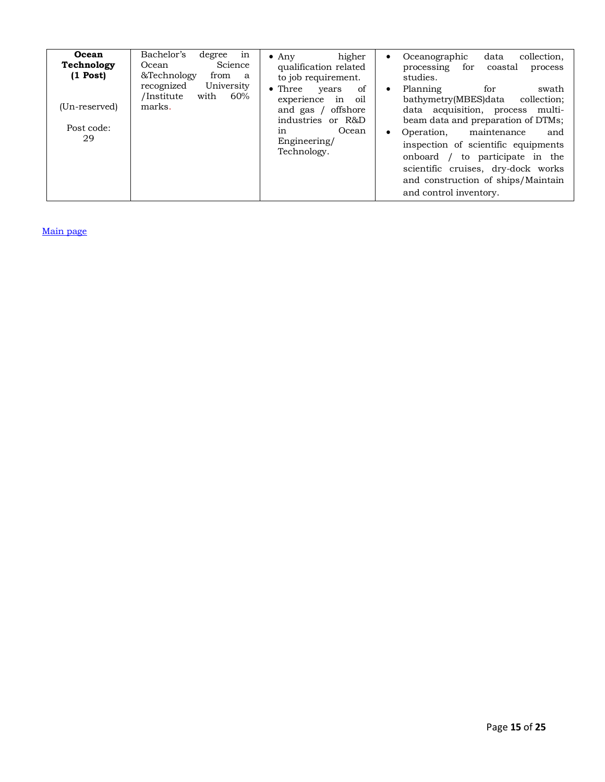| Ocean<br>Technology<br>$(1$ Post)<br>(Un-reserved)<br>Post code:<br>29 | in<br>Bachelor's<br>degree<br>Science<br>Ocean<br>&Technology<br>from<br>a.<br>University<br>recognized<br>/Institute<br>60%<br>with<br>marks. | higher<br>$\bullet$ Any<br>qualification related<br>to job requirement.<br>of<br>$\bullet$ Three<br>years<br>$\cdot$ in<br>experience<br>oil<br>offshore<br>and gas $/$<br>industries or R&D<br>Ocean<br>in<br>Engineering/<br>Technology. | collection,<br>Oceanographic<br>data<br>$\bullet$<br>processing<br>for<br>coastal<br>process<br>studies.<br>Planning<br>swath<br>for<br>$\bullet$<br>bathymetry(MBES)data<br>collection;<br>data acquisition, process multi-<br>beam data and preparation of DTMs;<br>Operation,<br>maintenance<br>and<br>$\bullet$<br>inspection of scientific equipments<br>to participate in the<br>onboard /<br>scientific cruises, dry-dock works<br>and construction of ships/Maintain<br>and control inventory. |
|------------------------------------------------------------------------|------------------------------------------------------------------------------------------------------------------------------------------------|--------------------------------------------------------------------------------------------------------------------------------------------------------------------------------------------------------------------------------------------|--------------------------------------------------------------------------------------------------------------------------------------------------------------------------------------------------------------------------------------------------------------------------------------------------------------------------------------------------------------------------------------------------------------------------------------------------------------------------------------------------------|
|------------------------------------------------------------------------|------------------------------------------------------------------------------------------------------------------------------------------------|--------------------------------------------------------------------------------------------------------------------------------------------------------------------------------------------------------------------------------------------|--------------------------------------------------------------------------------------------------------------------------------------------------------------------------------------------------------------------------------------------------------------------------------------------------------------------------------------------------------------------------------------------------------------------------------------------------------------------------------------------------------|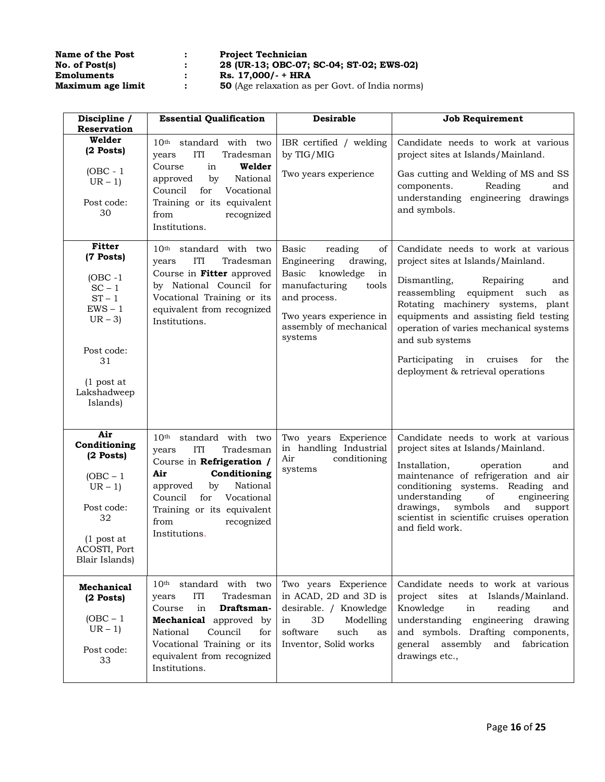| Name of the Post  |   | <b>Project Technician</b>   |
|-------------------|---|-----------------------------|
| No. of Post(s)    |   | 28 (UR-13; OBC-07           |
| <b>Emoluments</b> | : | Rs. $17,000/- + HR/$        |
| Maximum age limit |   | <b>50</b> (Age relaxation a |

**No. of Post(s) : 28 (UR-13; OBC-07; SC-04; ST-02; EWS-02)**

**Maximum age limit : 50** (Age relaxation as per Govt. of India norms)

| Discipline /<br>Reservation                                                                                                                              | <b>Essential Qualification</b>                                                                                                                                                                                                                                | <b>Desirable</b>                                                                                                                                                                     | <b>Job Requirement</b>                                                                                                                                                                                                                                                                                                                                                                |
|----------------------------------------------------------------------------------------------------------------------------------------------------------|---------------------------------------------------------------------------------------------------------------------------------------------------------------------------------------------------------------------------------------------------------------|--------------------------------------------------------------------------------------------------------------------------------------------------------------------------------------|---------------------------------------------------------------------------------------------------------------------------------------------------------------------------------------------------------------------------------------------------------------------------------------------------------------------------------------------------------------------------------------|
| Welder<br>$(2$ Posts)<br>$(OBC - 1)$<br>$UR - 1$<br>Post code:<br>30                                                                                     | 10 <sup>th</sup> standard with two<br>ITI<br>Tradesman<br>years<br>in<br>Course<br>Welder<br>by<br>National<br>approved<br>Council<br>for<br>Vocational<br>Training or its equivalent<br>recognized<br>from<br>Institutions.                                  | IBR certified / welding<br>by TIG/MIG<br>Two years experience                                                                                                                        | Candidate needs to work at various<br>project sites at Islands/Mainland.<br>Gas cutting and Welding of MS and SS<br>Reading<br>components.<br>and<br>engineering drawings<br>understanding<br>and symbols.                                                                                                                                                                            |
| <b>Fitter</b><br>(7 Posts)<br>$(OBC -1)$<br>$SC - 1$<br>$ST - 1$<br>$EWS - 1$<br>$UR - 3$<br>Post code:<br>31<br>$(1$ post at<br>Lakshadweep<br>Islands) | 10 <sup>th</sup> standard with two<br>ITI<br>Tradesman<br>years<br>Course in Fitter approved<br>by National Council for<br>Vocational Training or its<br>equivalent from recognized<br>Institutions.                                                          | Basic<br>reading<br>of<br>Engineering<br>drawing,<br>Basic knowledge<br>in<br>manufacturing<br>tools<br>and process.<br>Two years experience in<br>assembly of mechanical<br>systems | Candidate needs to work at various<br>project sites at Islands/Mainland.<br>Repairing<br>Dismantling,<br>and<br>reassembling<br>equipment such<br>as<br>Rotating machinery systems, plant<br>equipments and assisting field testing<br>operation of varies mechanical systems<br>and sub systems<br>Participating<br>cruises<br>for<br>the<br>in<br>deployment & retrieval operations |
| Air<br>Conditioning<br>$(2$ Posts)<br>$(OBC - 1)$<br>$UR - 1$<br>Post code:<br>32<br>$(1$ post at<br>ACOSTI, Port<br>Blair Islands)                      | 10 <sup>th</sup> standard with two<br><b>ITI</b><br>Tradesman<br>years<br>Course in Refrigeration /<br>Conditioning<br>Air<br>National<br>approved<br>by<br>Vocational<br>Council<br>for<br>Training or its equivalent<br>recognized<br>from<br>Institutions. | Two years Experience<br>in handling Industrial<br>Air<br>conditioning<br>systems                                                                                                     | Candidate needs to work at various<br>project sites at Islands/Mainland.<br>Installation,<br>operation<br>and<br>maintenance of refrigeration and air<br>conditioning systems. Reading and<br>understanding<br>of<br>engineering<br>drawings,<br>symbols<br>and<br>support<br>scientist in scientific cruises operation<br>and field work.                                            |
| <b>Mechanical</b><br>$(2$ Posts)<br>$(OBC - 1)$<br>$UR - 1$<br>Post code:<br>33                                                                          | standard with two<br>10 <sup>th</sup><br><b>ITI</b><br>Tradesman<br>years<br>in<br>Course<br>Draftsman-<br>Mechanical approved by<br>National<br>Council<br>for<br>Vocational Training or its<br>equivalent from recognized<br>Institutions.                  | Two years Experience<br>in ACAD, 2D and 3D is<br>desirable. / Knowledge<br>3D<br>Modelling<br>in<br>software<br>such<br>as<br>Inventor, Solid works                                  | Candidate needs to work at various<br>project sites<br>at Islands/Mainland.<br>Knowledge<br>in<br>reading<br>and<br>understanding<br>engineering drawing<br>and symbols. Drafting components,<br>and<br>fabrication<br>general assembly<br>drawings etc.,                                                                                                                             |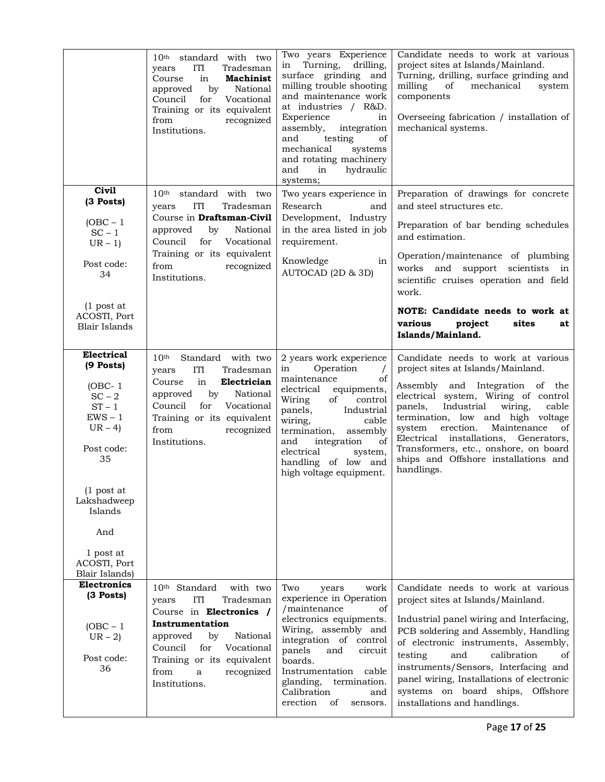|                                                                                                                                                                                                       | $10th$ standard with two<br>ITI<br>Tradesman<br>years<br>Course<br>in<br><b>Machinist</b><br>by<br>National<br>approved<br>Council<br>Vocational<br>for<br>Training or its equivalent<br>recognized<br>from<br>Institutions.                                               | Two years Experience<br>Turning,<br>drilling,<br>in<br>surface grinding and<br>milling trouble shooting<br>and maintenance work<br>at industries / R&D.<br>Experience<br>in<br>assembly,<br>integration<br>of<br>and<br>testing<br>mechanical<br>systems<br>and rotating machinery<br>and<br>in<br>hydraulic<br>systems; | Candidate needs to work at various<br>project sites at Islands/Mainland.<br>Turning, drilling, surface grinding and<br>milling<br>of<br>mechanical<br>system<br>components<br>Overseeing fabrication / installation of<br>mechanical systems.                                                                                                                                                                                |
|-------------------------------------------------------------------------------------------------------------------------------------------------------------------------------------------------------|----------------------------------------------------------------------------------------------------------------------------------------------------------------------------------------------------------------------------------------------------------------------------|--------------------------------------------------------------------------------------------------------------------------------------------------------------------------------------------------------------------------------------------------------------------------------------------------------------------------|------------------------------------------------------------------------------------------------------------------------------------------------------------------------------------------------------------------------------------------------------------------------------------------------------------------------------------------------------------------------------------------------------------------------------|
| <b>Civil</b><br>(3 Posts)<br>$(OBC - 1)$<br>$SC - 1$<br>$UR - 1$<br>Post code:<br>34<br>$(1$ post at<br>ACOSTI, Port<br><b>Blair Islands</b>                                                          | 10 <sup>th</sup> standard with two<br>Tradesman<br>ITI<br>years<br>Course in Draftsman-Civil<br>by<br>National<br>approved<br>Council<br>Vocational<br>for<br>Training or its equivalent<br>recognized<br>from<br>Institutions.                                            | Two years experience in<br>Research<br>and<br>Development, Industry<br>in the area listed in job<br>requirement.<br>Knowledge<br>in<br>AUTOCAD (2D & 3D)                                                                                                                                                                 | Preparation of drawings for concrete<br>and steel structures etc.<br>Preparation of bar bending schedules<br>and estimation.<br>Operation/maintenance of plumbing<br>works and support scientists in<br>scientific cruises operation and field<br>work.<br>NOTE: Candidate needs to work at<br>various<br>project<br>sites<br>at<br>Islands/Mainland.                                                                        |
| Electrical<br>(9 Posts)<br>$(OBC-1)$<br>$SC - 2$<br>$ST - 1$<br>$EWS - 1$<br>$UR-4$<br>Post code:<br>35<br>(1 post at<br>Lakshadweep<br>Islands<br>And<br>1 post at<br>ACOSTI, Port<br>Blair Islands) | Standard with two<br>10 <sup>th</sup><br><b>ITI</b><br>Tradesman<br>years<br>in<br>Course<br>Electrician<br>by<br>National<br>approved<br>Council<br>for<br>Vocational<br>Training or its equivalent<br>recognized<br>from<br>Institutions.                                | 2 years work experience<br>Operation<br>in<br>$\prime$<br>maintenance<br>οf<br>electrical<br>equipments,<br>of<br>Wiring<br>control<br>panels,<br>Industrial<br>wiring,<br>cable<br>termination,<br>assembly<br>of<br>and<br>integration<br>electrical<br>system,<br>of low and<br>handling<br>high voltage equipment.   | Candidate needs to work at various<br>project sites at Islands/Mainland.<br>Assembly and Integration of the<br>electrical system, Wiring of control<br>Industrial<br>wiring,<br>cable<br>panels,<br>termination, low and high voltage<br>erection.<br>Maintenance<br>of<br>system<br>Electrical installations,<br>Generators,<br>Transformers, etc., onshore, on board<br>ships and Offshore installations and<br>handlings. |
| <b>Electronics</b><br>$(3$ Posts)<br>$(OBC - 1)$<br>$UR - 2$<br>Post code:<br>36                                                                                                                      | 10 <sup>th</sup> Standard<br>with two<br><b>ITI</b><br>Tradesman<br>years<br>Course in Electronics /<br>Instrumentation<br>National<br>approved<br>by<br>for<br>Council<br>Vocational<br>Training or its equivalent<br>from<br>recognized<br>$\mathbf{a}$<br>Institutions. | Two<br>work<br>years<br>experience in Operation<br>/maintenance<br>οf<br>electronics equipments.<br>Wiring, assembly and<br>integration of control<br>panels<br>and<br>circuit<br>boards.<br>Instrumentation<br>cable<br>glanding,<br>termination.<br>Calibration<br>and<br>erection<br>of<br>sensors.                   | Candidate needs to work at various<br>project sites at Islands/Mainland.<br>Industrial panel wiring and Interfacing,<br>PCB soldering and Assembly, Handling<br>of electronic instruments, Assembly,<br>and<br>calibration<br>testing<br>of<br>instruments/Sensors, Interfacing and<br>panel wiring, Installations of electronic<br>systems on board ships,<br>Offshore<br>installations and handlings.                      |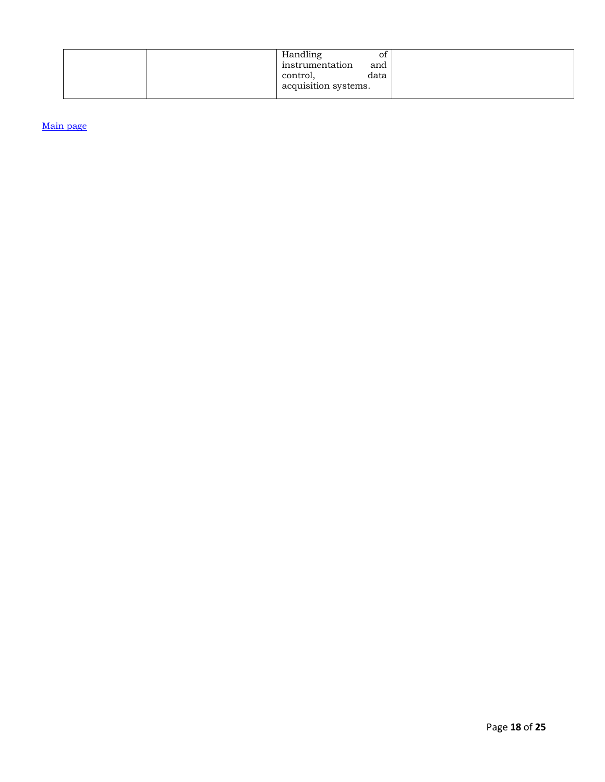|  | Handling             | ΟÌ   |
|--|----------------------|------|
|  | instrumentation      | and  |
|  | control,             | data |
|  | acquisition systems. |      |
|  |                      |      |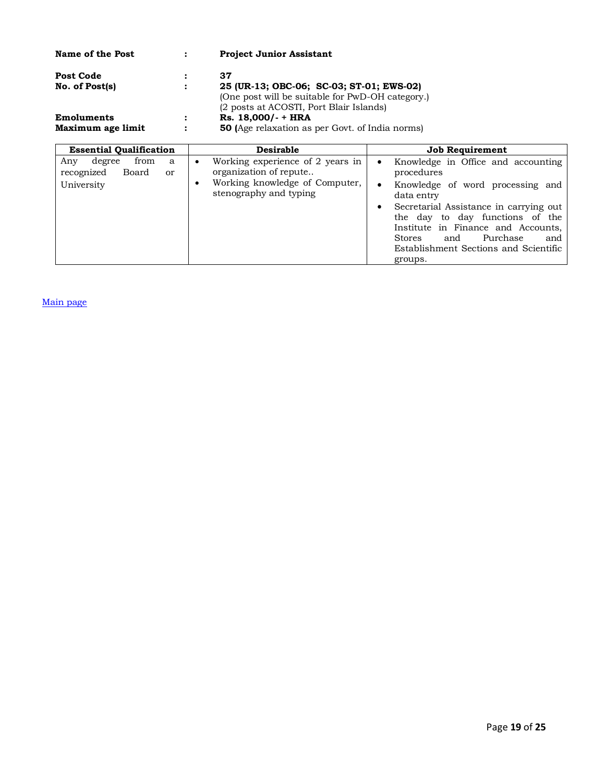| Name of the Post  |                      | <b>Project Junior Assistant</b>                        |
|-------------------|----------------------|--------------------------------------------------------|
| <b>Post Code</b>  | ٠                    | 37                                                     |
| No. of Post(s)    | $\ddot{\cdot}$       | 25 (UR-13; OBC-06; SC-03; ST-01; EWS-02)               |
|                   |                      | (One post will be suitable for PwD-OH category.)       |
|                   |                      | (2 posts at ACOSTI, Port Blair Islands)                |
| Emoluments        | ٠                    | Rs. 18,000/- + HRA                                     |
| Maximum age limit | $\ddot{\phantom{a}}$ | <b>50</b> (Age relaxation as per Govt. of India norms) |

| <b>Essential Qualification</b>                                     | <b>Desirable</b>                                           | <b>Job Requirement</b>                                                                                                                                                                                                      |  |  |
|--------------------------------------------------------------------|------------------------------------------------------------|-----------------------------------------------------------------------------------------------------------------------------------------------------------------------------------------------------------------------------|--|--|
| degree<br>from<br>Any<br>a<br>recognized<br>Board<br><sub>or</sub> | Working experience of 2 years in<br>organization of repute | Knowledge in Office and accounting<br>$\bullet$<br>procedures                                                                                                                                                               |  |  |
| University                                                         | Working knowledge of Computer,<br>stenography and typing   | Knowledge of word processing and<br>$\bullet$<br>data entry                                                                                                                                                                 |  |  |
|                                                                    |                                                            | Secretarial Assistance in carrying out<br>$\bullet$<br>the day to day functions of the<br>Institute in Finance and Accounts,<br>Purchase<br><b>Stores</b><br>and<br>and<br>Establishment Sections and Scientific<br>groups. |  |  |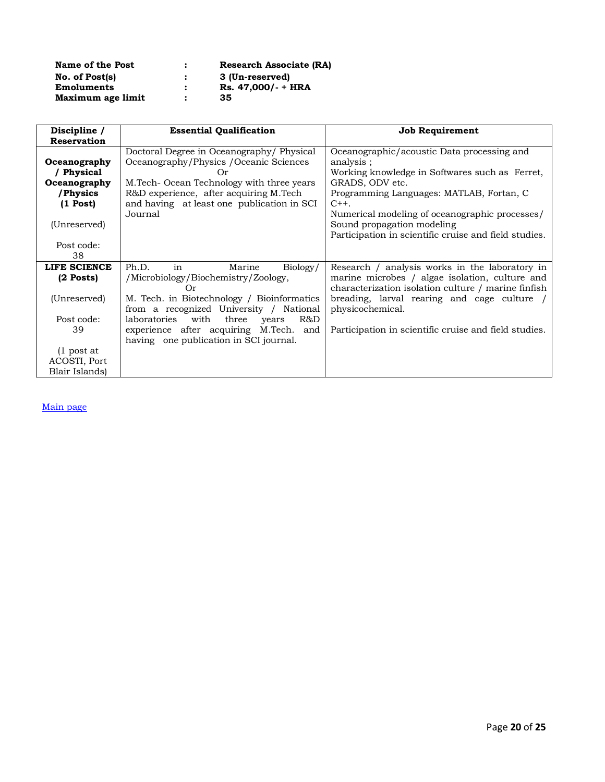| Name of the Post  | <b>Research Associate (RA)</b> |
|-------------------|--------------------------------|
| No. of Post(s)    | 3 (Un-reserved)                |
| Emoluments        | Rs. 47,000/- + HRA             |
| Maximum age limit | 35                             |

| Discipline /       | <b>Essential Qualification</b>                       | <b>Job Requirement</b>                                |
|--------------------|------------------------------------------------------|-------------------------------------------------------|
| <b>Reservation</b> |                                                      |                                                       |
|                    | Doctoral Degree in Oceanography/Physical             | Oceanographic/acoustic Data processing and            |
| Oceanography       | Oceanography/Physics / Oceanic Sciences              | analysis;                                             |
| / Physical         | Or)                                                  | Working knowledge in Softwares such as Ferret,        |
| Oceanography       | M.Tech-Ocean Technology with three years             | GRADS, ODV etc.                                       |
| /Physics           | R&D experience, after acquiring M.Tech               | Programming Languages: MATLAB, Fortan, C              |
| $(1$ Post)         | and having at least one publication in SCI           | $C++$ .                                               |
|                    | Journal                                              | Numerical modeling of oceanographic processes/        |
| (Unreserved)       |                                                      | Sound propagation modeling                            |
|                    |                                                      | Participation in scientific cruise and field studies. |
| Post code:         |                                                      |                                                       |
| 38                 |                                                      |                                                       |
| LIFE SCIENCE       | Ph.D.<br>in<br>Marine<br>Biology/                    | Research / analysis works in the laboratory in        |
| $(2$ Posts)        | /Microbiology/Biochemistry/Zoology,                  | marine microbes / algae isolation, culture and        |
|                    | Or                                                   | characterization isolation culture / marine finfish   |
| (Unreserved)       | M. Tech. in Biotechnology / Bioinformatics           | breading, larval rearing and cage culture /           |
|                    | from a recognized University / National              | physicochemical.                                      |
| Post code:         | with<br>R&D<br><i>laboratories</i><br>three<br>vears |                                                       |
| 39                 | experience after acquiring M.Tech. and               | Participation in scientific cruise and field studies. |
|                    | having one publication in SCI journal.               |                                                       |
| $(1$ post at       |                                                      |                                                       |
| ACOSTI, Port       |                                                      |                                                       |
| Blair Islands)     |                                                      |                                                       |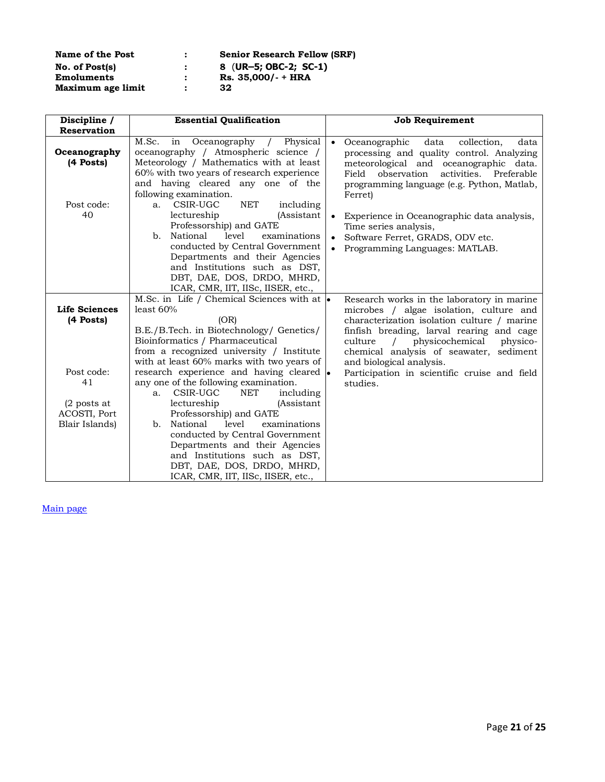| Name of the Post  | <b>Senior Research Fellow (SRF)</b> |
|-------------------|-------------------------------------|
| No. of Post(s)    | 8 (UR-5; OBC-2; SC-1)               |
| Emoluments        | Rs. 35,000/- + HRA                  |
| Maximum age limit | 32                                  |

| Discipline /<br><b>Reservation</b>              | <b>Essential Qualification</b>                                                                                                                                                                                                                                                                                           |                        | <b>Job Requirement</b>                                                                                                                                                                                                                               |
|-------------------------------------------------|--------------------------------------------------------------------------------------------------------------------------------------------------------------------------------------------------------------------------------------------------------------------------------------------------------------------------|------------------------|------------------------------------------------------------------------------------------------------------------------------------------------------------------------------------------------------------------------------------------------------|
| Oceanography<br>(4 Posts)                       | M.Sc.<br>Oceanography / Physical<br>in<br>oceanography / Atmospheric science /<br>Meteorology / Mathematics with at least<br>60% with two years of research experience<br>and having cleared any one of the<br>following examination.                                                                                    | $\bullet$              | Oceanographic<br>data<br>collection,<br>data<br>processing and quality control. Analyzing<br>meteorological and oceanographic data.<br>observation<br>Field<br>activities. Preferable<br>programming language (e.g. Python, Matlab,<br>Ferret)       |
| Post code:<br>40                                | NET<br>CSIR-UGC<br>including<br>a.<br>lectureship<br><i>(Assistant</i> )<br>Professorship) and GATE<br>National<br>examinations<br>level<br>b.<br>conducted by Central Government<br>Departments and their Agencies<br>and Institutions such as DST,<br>DBT, DAE, DOS, DRDO, MHRD,<br>ICAR, CMR, IIT, IISc, IISER, etc., | $\bullet$<br>$\bullet$ | Experience in Oceanographic data analysis,<br>Time series analysis,<br>Software Ferret, GRADS, ODV etc.<br>Programming Languages: MATLAB.                                                                                                            |
|                                                 | M.Sc. in Life / Chemical Sciences with at $\cdot$                                                                                                                                                                                                                                                                        |                        | Research works in the laboratory in marine                                                                                                                                                                                                           |
| <b>Life Sciences</b><br>(4 Posts)               | least $60%$<br>(OR)<br>B.E./B.Tech. in Biotechnology/ Genetics/<br>Bioinformatics / Pharmaceutical<br>from a recognized university / Institute<br>with at least 60% marks with two years of                                                                                                                              |                        | microbes / algae isolation, culture and<br>characterization isolation culture / marine<br>finfish breading, larval rearing and cage<br>culture<br>physicochemical<br>physico-<br>chemical analysis of seawater, sediment<br>and biological analysis. |
| Post code:<br>41                                | research experience and having cleared •<br>any one of the following examination.<br>CSIR-UGC<br>NET<br>including<br>a.                                                                                                                                                                                                  |                        | Participation in scientific cruise and field<br>studies.                                                                                                                                                                                             |
| $(2$ posts at<br>ACOSTI, Port<br>Blair Islands) | lectureship<br><i>(Assistant</i> )<br>Professorship) and GATE<br>level<br>National<br>examinations<br>b.<br>conducted by Central Government<br>Departments and their Agencies<br>and Institutions such as DST,<br>DBT, DAE, DOS, DRDO, MHRD,<br>ICAR, CMR, IIT, IISc, IISER, etc.,                                       |                        |                                                                                                                                                                                                                                                      |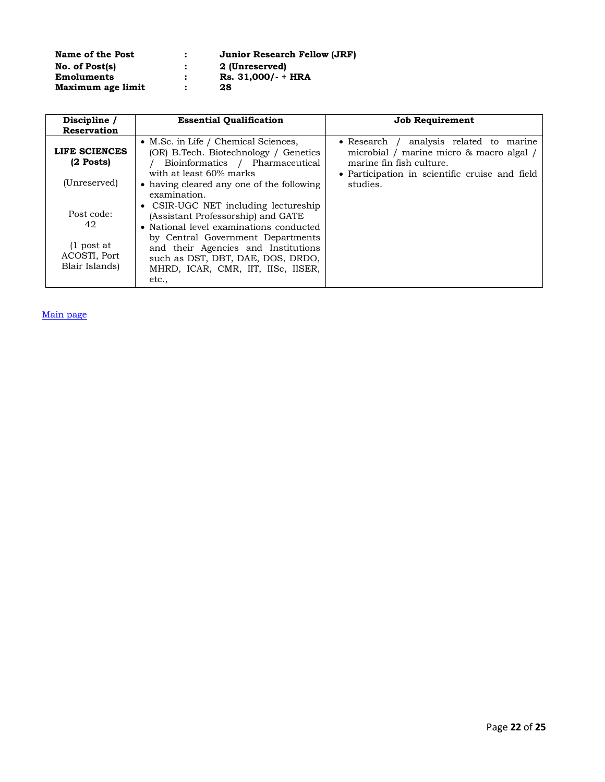| Name of the Post  | : | <b>Junior Research Fellow (JRF)</b> |
|-------------------|---|-------------------------------------|
| No. of Post(s)    |   | 2 (Unreserved)                      |
| <b>Emoluments</b> |   | Rs. 31.000/- + HRA                  |
| Maximum age limit |   | 28                                  |

| Discipline /                                   | <b>Essential Qualification</b>                                                                                                              | <b>Job Requirement</b>                                                                                                                                                     |
|------------------------------------------------|---------------------------------------------------------------------------------------------------------------------------------------------|----------------------------------------------------------------------------------------------------------------------------------------------------------------------------|
| <b>Reservation</b>                             |                                                                                                                                             |                                                                                                                                                                            |
| LIFE SCIENCES<br>$(2$ Posts)                   | • M.Sc. in Life / Chemical Sciences,<br>(OR) B.Tech. Biotechnology / Genetics<br>Bioinformatics / Pharmaceutical<br>with at least 60% marks | analysis related to marine<br>$\bullet$ Research<br>microbial / marine micro & macro algal /<br>marine fin fish culture.<br>• Participation in scientific cruise and field |
| (Unreserved)                                   | • having cleared any one of the following<br>examination.<br>• CSIR-UGC NET including lectureship                                           | studies.                                                                                                                                                                   |
| Post code:<br>42                               | (Assistant Professorship) and GATE<br>• National level examinations conducted<br>by Central Government Departments                          |                                                                                                                                                                            |
| $(1$ post at<br>ACOSTI, Port<br>Blair Islands) | and their Agencies and Institutions<br>such as DST, DBT, DAE, DOS, DRDO,<br>MHRD, ICAR, CMR, IIT, IISc, IISER,<br>etc.,                     |                                                                                                                                                                            |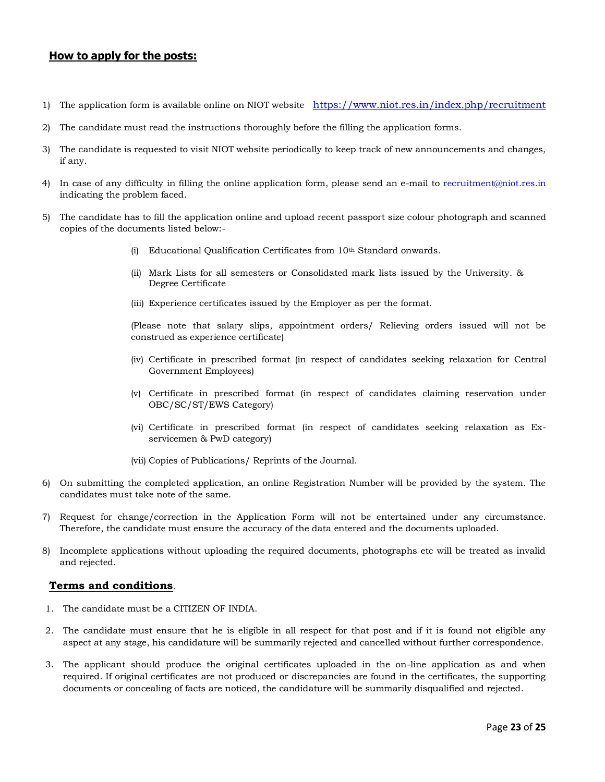### <span id="page-22-1"></span>**How to apply for the posts:**

- 1) The application form is available online on NIOT website <https://www.niot.res.in/index.php/recruitment>
- 2) The candidate must read the instructions thoroughly before the filling the application forms.
- 3) The candidate is requested to visit NIOT website periodically to keep track of new announcements and changes, if any.
- 4) In case of any difficulty in filling the online application form, please send an e-mail to [recruitment@niot.res.in](mailto:recruitment@niot.res.in) indicating the problem faced.
- 5) The candidate has to fill the application online and upload recent passport size colour photograph and scanned copies of the documents listed below:-
	- (i) Educational Qualification Certificates from 10<sup>th</sup> Standard onwards.
	- (ii) Mark Lists for all semesters or Consolidated mark lists issued by the University. & Degree Certificate
	- (iii) Experience certificates issued by the Employer as per the format.

(Please note that salary slips, appointment orders/ Relieving orders issued will not be construed as experience certificate)

- (iv) Certificate in prescribed format (in respect of candidates seeking relaxation for Central Government Employees)
- (v) Certificate in prescribed format (in respect of candidates claiming reservation under OBC/SC/ST/EWS Category)
- (vi) Certificate in prescribed format (in respect of candidates seeking relaxation as Exservicemen & PwD category)

(vii) Copies of Publications/ Reprints of the Journal.

- 6) On submitting the completed application, an online Registration Number will be provided by the system. The candidates must take note of the same.
- 7) Request for change/correction in the Application Form will not be entertained under any circumstance. Therefore, the candidate must ensure the accuracy of the data entered and the documents uploaded.
- 8) Incomplete applications without uploading the required documents, photographs etc will be treated as invalid and rejected.

#### <span id="page-22-0"></span>**Terms and conditions**.

- 1. The candidate must be a CITIZEN OF INDIA.
- 2. The candidate must ensure that he is eligible in all respect for that post and if it is found not eligible any aspect at any stage, his candidature will be summarily rejected and cancelled without further correspondence.
- 3. The applicant should produce the original certificates uploaded in the on-line application as and when required. If original certificates are not produced or discrepancies are found in the certificates, the supporting documents or concealing of facts are noticed, the candidature will be summarily disqualified and rejected.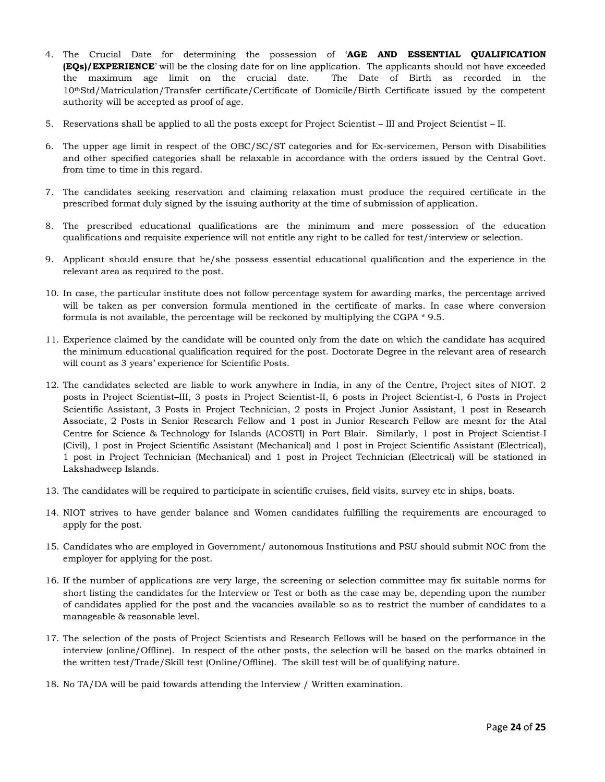- 4. The Crucial Date for determining the possession of '**AGE AND ESSENTIAL QUALIFICATION (EQs)/EXPERIENCE**' will be the closing date for on line application. The applicants should not have exceeded the maximum age limit on the crucial date. The Date of Birth as recorded in the 10thStd/Matriculation/Transfer certificate/Certificate of Domicile/Birth Certificate issued by the competent authority will be accepted as proof of age.
- 5. Reservations shall be applied to all the posts except for Project Scientist III and Project Scientist II.
- 6. The upper age limit in respect of the OBC/SC/ST categories and for Ex-servicemen, Person with Disabilities and other specified categories shall be relaxable in accordance with the orders issued by the Central Govt. from time to time in this regard.
- 7. The candidates seeking reservation and claiming relaxation must produce the required certificate in the prescribed format duly signed by the issuing authority at the time of submission of application.
- 8. The prescribed educational qualifications are the minimum and mere possession of the education qualifications and requisite experience will not entitle any right to be called for test/interview or selection.
- 9. Applicant should ensure that he/she possess essential educational qualification and the experience in the relevant area as required to the post.
- 10. In case, the particular institute does not follow percentage system for awarding marks, the percentage arrived will be taken as per conversion formula mentioned in the certificate of marks. In case where conversion formula is not available, the percentage will be reckoned by multiplying the CGPA \* 9.5.
- 11. Experience claimed by the candidate will be counted only from the date on which the candidate has acquired the minimum educational qualification required for the post. Doctorate Degree in the relevant area of research will count as 3 years' experience for Scientific Posts.
- 12. The candidates selected are liable to work anywhere in India, in any of the Centre, Project sites of NIOT. 2 posts in Project Scientist–III, 3 posts in Project Scientist-II, 6 posts in Project Scientist-I, 6 Posts in Project Scientific Assistant, 3 Posts in Project Technician, 2 posts in Project Junior Assistant, 1 post in Research Associate, 2 Posts in Senior Research Fellow and 1 post in Junior Research Fellow are meant for the Atal Centre for Science & Technology for Islands (ACOSTI) in Port Blair. Similarly, 1 post in Project Scientist-I (Civil), 1 post in Project Scientific Assistant (Mechanical) and 1 post in Project Scientific Assistant (Electrical), 1 post in Project Technician (Mechanical) and 1 post in Project Technician (Electrical) will be stationed in Lakshadweep Islands.
- 13. The candidates will be required to participate in scientific cruises, field visits, survey etc in ships, boats.
- 14. NIOT strives to have gender balance and Women candidates fulfilling the requirements are encouraged to apply for the post.
- 15. Candidates who are employed in Government/ autonomous Institutions and PSU should submit NOC from the employer for applying for the post.
- 16. If the number of applications are very large, the screening or selection committee may fix suitable norms for short listing the candidates for the Interview or Test or both as the case may be, depending upon the number of candidates applied for the post and the vacancies available so as to restrict the number of candidates to a manageable & reasonable level.
- 17. The selection of the posts of Project Scientists and Research Fellows will be based on the performance in the interview (online/Offline). In respect of the other posts, the selection will be based on the marks obtained in the written test/Trade/Skill test (Online/Offline). The skill test will be of qualifying nature.
- 18. No TA/DA will be paid towards attending the Interview / Written examination.